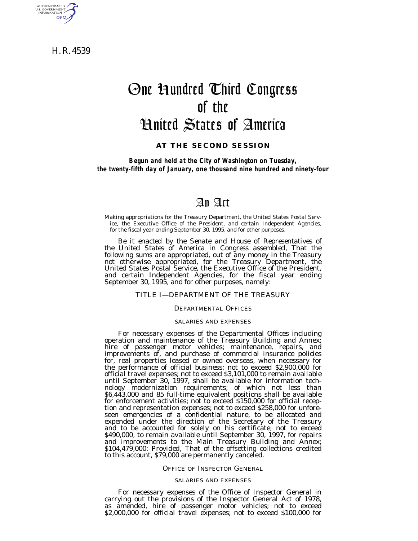H. R. 4539

AUTHENTICATED<br>U.S. GOVERNMENT<br>INFORMATION **GPO** 

# One Hundred Third Congress of the United States of America

## **AT THE SECOND SESSION**

*Begun and held at the City of Washington on Tuesday, the twenty-fifth day of January, one thousand nine hundred and ninety-four*

## An Act

Making appropriations for the Treasury Department, the United States Postal Service, the Executive Office of the President, and certain Independent Agencies, for the fiscal year ending September 30, 1995, and for other purposes.

*Be it enacted by the Senate and House of Representatives of the United States of America in Congress assembled,* That the following sums are appropriated, out of any money in the Treasury not otherwise appropriated, for the Treasury Department, the United States Postal Service, the Executive Office of the President, and certain Independent Agencies, for the fiscal year ending September 30, 1995, and for other purposes, namely:

## TITLE I—DEPARTMENT OF THE TREASURY

## DEPARTMENTAL OFFICES

## SALARIES AND EXPENSES

For necessary expenses of the Departmental Offices including operation and maintenance of the Treasury Building and Annex; hire of passenger motor vehicles; maintenance, repairs, and improvements of, and purchase of commercial insurance policies for, real properties leased or owned overseas, when necessary for the performance of official business; not to exceed \$2,900,000 for official travel expenses; not to exceed \$3,101,000 to remain available until September 30, 1997, shall be available for information technology modernization requirements; of which not less than \$6,443,000 and 85 full-time equivalent positions shall be available for enforcement activities; not to exceed \$150,000 for official reception and representation expenses; not to exceed \$258,000 for unforeseen emergencies of a confidential nature, to be allocated and expended under the direction of the Secretary of the Treasury and to be accounted for solely on his certificate; not to exceed \$490,000, to remain available until September 30, 1997, for repairs and improvements to the Main Treasury Building and Annex; \$104,479,000: *Provided,* That of the offsetting collections credited to this account, \$79,000 are permanently canceled.

#### OFFICE OF INSPECTOR GENERAL

#### SALARIES AND EXPENSES

For necessary expenses of the Office of Inspector General in carrying out the provisions of the Inspector General Act of 1978, as amended, hire of passenger motor vehicles; not to exceed \$2,000,000 for official travel expenses; not to exceed \$100,000 for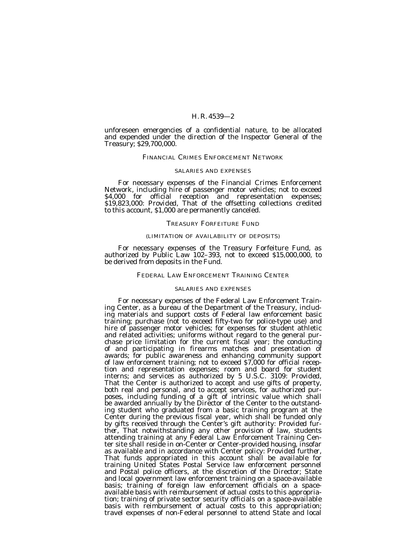unforeseen emergencies of a confidential nature, to be allocated and expended under the direction of the Inspector General of the Treasury; \$29,700,000.

## FINANCIAL CRIMES ENFORCEMENT NETWORK

#### SALARIES AND EXPENSES

For necessary expenses of the Financial Crimes Enforcement Network, including hire of passenger motor vehicles; not to exceed \$4,000 for official reception and representation expenses; \$19,823,000: *Provided,* That of the offsetting collections credited to this account, \$1,000 are permanently canceled.

#### TREASURY FORFEITURE FUND

## (LIMITATION OF AVAILABILITY OF DEPOSITS)

For necessary expenses of the Treasury Forfeiture Fund, as authorized by Public Law 102–393, not to exceed \$15,000,000, to be derived from deposits in the Fund.

#### FEDERAL LAW ENFORCEMENT TRAINING CENTER

## SALARIES AND EXPENSES

For necessary expenses of the Federal Law Enforcement Training Center, as a bureau of the Department of the Treasury, including materials and support costs of Federal law enforcement basic training; purchase (not to exceed fifty-two for police-type use) and hire of passenger motor vehicles; for expenses for student athletic and related activities; uniforms without regard to the general purchase price limitation for the current fiscal year; the conducting of and participating in firearms matches and presentation of awards; for public awareness and enhancing community support of law enforcement training; not to exceed \$7,000 for official reception and representation expenses; room and board for student interns; and services as authorized by 5 U.S.C. 3109: *Provided,* That the Center is authorized to accept and use gifts of property, both real and personal, and to accept services, for authorized purposes, including funding of a gift of intrinsic value which shall be awarded annually by the Director of the Center to the outstanding student who graduated from a basic training program at the Center during the previous fiscal year, which shall be funded only by gifts received through the Center's gift authority: *Provided further*, That notwithstanding any other provision of law, students attending training at any Federal Law Enforcement Training Center site shall reside in on-Center or Center-provided housing, insofar as available and in accordance with Center policy: *Provided further,* That funds appropriated in this account shall be available for training United States Postal Service law enforcement personnel and Postal police officers, at the discretion of the Director; State and local government law enforcement training on a space-available basis; training of foreign law enforcement officials on a spaceavailable basis with reimbursement of actual costs to this appropriation; training of private sector security officials on a space-available basis with reimbursement of actual costs to this appropriation; travel expenses of non-Federal personnel to attend State and local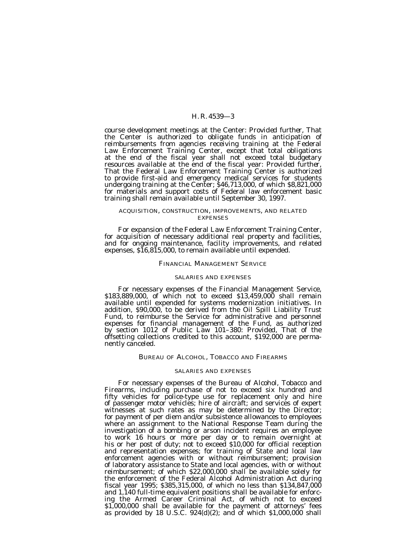course development meetings at the Center: *Provided further,* That the Center is authorized to obligate funds in anticipation of reimbursements from agencies receiving training at the Federal Law Enforcement Training Center, except that total obligations at the end of the fiscal year shall not exceed total budgetary resources available at the end of the fiscal year: *Provided further,* That the Federal Law Enforcement Training Center is authorized to provide first-aid and emergency medical services for students undergoing training at the Center; \$46,713,000, of which \$8,821,000 for materials and support costs of Federal law enforcement basic training shall remain available until September 30, 1997.

### ACQUISITION, CONSTRUCTION, IMPROVEMENTS, AND RELATED **EXPENSES**

For expansion of the Federal Law Enforcement Training Center, for acquisition of necessary additional real property and facilities, and for ongoing maintenance, facility improvements, and related expenses, \$16,815,000, to remain available until expended.

## FINANCIAL MANAGEMENT SERVICE

#### SALARIES AND EXPENSES

For necessary expenses of the Financial Management Service, \$183,889,000, of which not to exceed \$13,459,000 shall remain available until expended for systems modernization initiatives. In addition, \$90,000, to be derived from the Oil Spill Liability Trust Fund, to reimburse the Service for administrative and personnel expenses for financial management of the Fund, as authorized by section 1012 of Public Law 101–380: *Provided,* That of the offsetting collections credited to this account, \$192,000 are permanently canceled.

## BUREAU OF ALCOHOL, TOBACCO AND FIREARMS

#### SALARIES AND EXPENSES

For necessary expenses of the Bureau of Alcohol, Tobacco and Firearms, including purchase of not to exceed six hundred and fifty vehicles for police-type use for replacement only and hire of passenger motor vehicles; hire of aircraft; and services of expert witnesses at such rates as may be determined by the Director; for payment of per diem and/or subsistence allowances to employees where an assignment to the National Response Team during the investigation of a bombing or arson incident requires an employee to work 16 hours or more per day or to remain overnight at his or her post of duty; not to exceed \$10,000 for official reception and representation expenses; for training of State and local law enforcement agencies with or without reimbursement; provision of laboratory assistance to State and local agencies, with or without reimbursement; of which \$22,000,000 shall be available solely for the enforcement of the Federal Alcohol Administration Act during fiscal year 1995; \$385,315,000, of which no less than \$134,847,000 and 1,140 full-time equivalent positions shall be available for enforcing the Armed Career Criminal Act, of which not to exceed \$1,000,000 shall be available for the payment of attorneys' fees as provided by 18 U.S.C.  $924(d)(2)$ ; and of which  $$1,000,000$  shall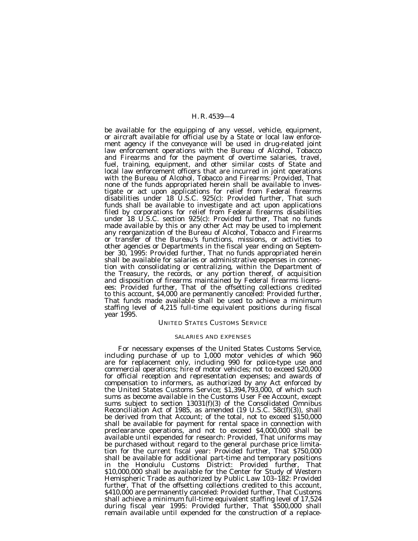be available for the equipping of any vessel, vehicle, equipment, or aircraft available for official use by a State or local law enforcement agency if the conveyance will be used in drug-related joint law enforcement operations with the Bureau of Alcohol, Tobacco and Firearms and for the payment of overtime salaries, travel, fuel, training, equipment, and other similar costs of State and local law enforcement officers that are incurred in joint operations with the Bureau of Alcohol, Tobacco and Firearms: *Provided,* That none of the funds appropriated herein shall be available to investigate or act upon applications for relief from Federal firearms disabilities under 18 U.S.C. 925(c): *Provided further,* That such funds shall be available to investigate and act upon applications filed by corporations for relief from Federal firearms disabilities under 18 U.S.C. section 925(c): *Provided further,* That no funds made available by this or any other Act may be used to implement any reorganization of the Bureau of Alcohol, Tobacco and Firearms or transfer of the Bureau's functions, missions, or activities to other agencies or Departments in the fiscal year ending on September 30, 1995: *Provided further,* That no funds appropriated herein shall be available for salaries or administrative expenses in connection with consolidating or centralizing, within the Department of the Treasury, the records, or any portion thereof, of acquisition and disposition of firearms maintained by Federal firearms licensees: *Provided further,* That of the offsetting collections credited to this account, \$4,000 are permanently canceled: *Provided further,* That funds made available shall be used to achieve a minimum staffing level of 4,215 full-time equivalent positions during fiscal year 1995.

## UNITED STATES CUSTOMS SERVICE

#### SALARIES AND EXPENSES

For necessary expenses of the United States Customs Service, including purchase of up to 1,000 motor vehicles of which 960 are for replacement only, including 990 for police-type use and commercial operations; hire of motor vehicles; not to exceed \$20,000 for official reception and representation expenses; and awards of compensation to informers, as authorized by any Act enforced by the United States Customs Service; \$1,394,793,000, of which such sums as become available in the Customs User Fee Account, except sums subject to section 13031(f)(3) of the Consolidated Omnibus Reconciliation Act of 1985, as amended (19 U.S.C. 58c(f)(3)), shall be derived from that Account; of the total, not to exceed \$150,000 shall be available for payment for rental space in connection with preclearance operations, and not to exceed \$4,000,000 shall be available until expended for research: *Provided,* That uniforms may be purchased without regard to the general purchase price limitation for the current fiscal year: *Provided further,* That \$750,000 shall be available for additional part-time and temporary positions in the Honolulu Customs District: *Provided further,* That \$10,000,000 shall be available for the Center for Study of Western Hemispheric Trade as authorized by Public Law 103–182: *Provided* further, That of the offsetting collections credited to this account, \$410,000 are permanently canceled: *Provided further,* That Customs shall achieve a minimum full-time equivalent staffing level of 17,524 during fiscal year 1995: *Provided further,* That \$500,000 shall remain available until expended for the construction of a replace-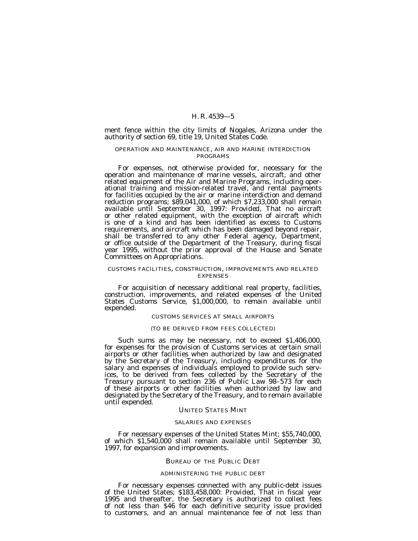ment fence within the city limits of Nogales, Arizona under the authority of section 69, title 19, United States Code.

## OPERATION AND MAINTENANCE, AIR AND MARINE INTERDICTION PROGRAMS

For expenses, not otherwise provided for, necessary for the operation and maintenance of marine vessels, aircraft, and other related equipment of the Air and Marine Programs, including operational training and mission-related travel, and rental payments for facilities occupied by the air or marine interdiction and demand reduction programs; \$89,041,000, of which \$7,233,000 shall remain available until September 30, 1997: *Provided,* That no aircraft or other related equipment, with the exception of aircraft which is one of a kind and has been identified as excess to Customs requirements, and aircraft which has been damaged beyond repair, shall be transferred to any other Federal agency, Department, or office outside of the Department of the Treasury, during fiscal year 1995, without the prior approval of the House and Senate Committees on Appropriations.

#### CUSTOMS FACILITIES, CONSTRUCTION, IMPROVEMENTS AND RELATED EXPENSES

For acquisition of necessary additional real property, facilities, construction, improvements, and related expenses of the United States Customs Service, \$1,000,000, to remain available until expended.

## CUSTOMS SERVICES AT SMALL AIRPORTS

#### (TO BE DERIVED FROM FEES COLLECTED)

Such sums as may be necessary, not to exceed \$1,406,000, for expenses for the provision of Customs services at certain small airports or other facilities when authorized by law and designated by the Secretary of the Treasury, including expenditures for the salary and expenses of individuals employed to provide such services, to be derived from fees collected by the Secretary of the Treasury pursuant to section 236 of Public Law 98–573 for each of these airports or other facilities when authorized by law and designated by the Secretary of the Treasury, and to remain available until expended.

#### UNITED STATES MINT

#### SALARIES AND EXPENSES

For necessary expenses of the United States Mint; \$55,740,000, of which \$1,540,000 shall remain available until September 30, 1997, for expansion and improvements.

#### BUREAU OF THE PUBLIC DEBT

#### ADMINISTERING THE PUBLIC DEBT

For necessary expenses connected with any public-debt issues of the United States; \$183,458,000: *Provided,* That in fiscal year 1995 and thereafter, the Secretary is authorized to collect fees of not less than \$46 for each definitive security issue provided to customers, and an annual maintenance fee of not less than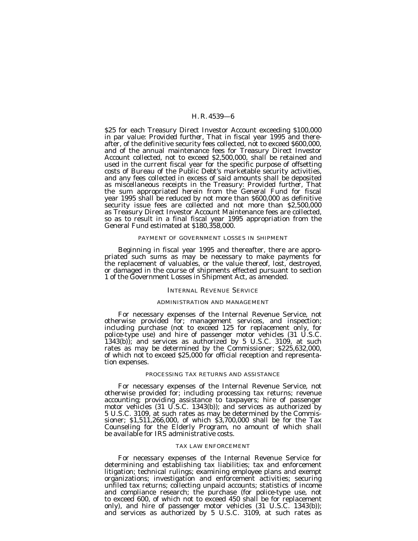\$25 for each Treasury Direct Investor Account exceeding \$100,000 in par value: *Provided further,* That in fiscal year 1995 and thereafter, of the definitive security fees collected, not to exceed \$600,000, and of the annual maintenance fees for Treasury Direct Investor Account collected, not to exceed \$2,500,000, shall be retained and used in the current fiscal year for the specific purpose of offsetting costs of Bureau of the Public Debt's marketable security activities, and any fees collected in excess of said amounts shall be deposited as miscellaneous receipts in the Treasury: *Provided further,* That the sum appropriated herein from the General Fund for fiscal year 1995 shall be reduced by not more than \$600,000 as definitive security issue fees are collected and not more than \$2,500,000 as Treasury Direct Investor Account Maintenance fees are collected, so as to result in a final fiscal year 1995 appropriation from the General Fund estimated at \$180,358,000.

#### PAYMENT OF GOVERNMENT LOSSES IN SHIPMENT

Beginning in fiscal year 1995 and thereafter, there are appropriated such sums as may be necessary to make payments for the replacement of valuables, or the value thereof, lost, destroyed, or damaged in the course of shipments effected pursuant to section 1 of the Government Losses in Shipment Act, as amended.

## INTERNAL REVENUE SERVICE

#### ADMINISTRATION AND MANAGEMENT

For necessary expenses of the Internal Revenue Service, not otherwise provided for; management services, and inspection; including purchase (not to exceed 125 for replacement only, for police-type use) and hire of passenger motor vehicles (31 U.S.C. 1343(b)); and services as authorized by 5 U.S.C. 3109, at such rates as may be determined by the Commissioner; \$225,632,000, of which not to exceed \$25,000 for official reception and representation expenses.

## PROCESSING TAX RETURNS AND ASSISTANCE

For necessary expenses of the Internal Revenue Service, not otherwise provided for; including processing tax returns; revenue accounting; providing assistance to taxpayers; hire of passenger motor vehicles (31 U.S.C. 1343(b)); and services as authorized by 5 U.S.C. 3109, at such rates as may be determined by the Commissioner; \$1,511,266,000, of which \$3,700,000 shall be for the Tax Counseling for the Elderly Program, no amount of which shall be available for IRS administrative costs.

## TAX LAW ENFORCEMENT

For necessary expenses of the Internal Revenue Service for determining and establishing tax liabilities; tax and enforcement litigation; technical rulings; examining employee plans and exempt organizations; investigation and enforcement activities; securing unfiled tax returns; collecting unpaid accounts; statistics of income and compliance research; the purchase (for police-type use, not to exceed 600, of which not to exceed 450 shall be for replacement only), and hire of passenger motor vehicles (31 U.S.C. 1343(b)); and services as authorized by 5 U.S.C. 3109, at such rates as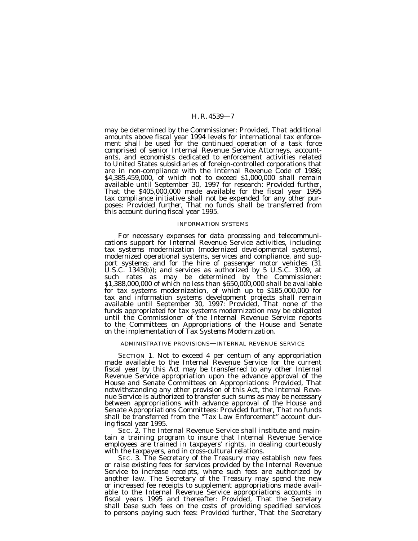may be determined by the Commissioner: *Provided,* That additional amounts above fiscal year 1994 levels for international tax enforcement shall be used for the continued operation of a task force comprised of senior Internal Revenue Service Attorneys, accountants, and economists dedicated to enforcement activities related to United States subsidiaries of foreign-controlled corporations that are in non-compliance with the Internal Revenue Code of 1986; \$4,385,459,000, of which not to exceed \$1,000,000 shall remain available until September 30, 1997 for research: *Provided further,* That the \$405,000,000 made available for the fiscal year 1995 tax compliance initiative shall not be expended for any other purposes: *Provided further,* That no funds shall be transferred from this account during fiscal year 1995.

#### INFORMATION SYSTEMS

For necessary expenses for data processing and telecommunications support for Internal Revenue Service activities, including: tax systems modernization (modernized developmental systems), modernized operational systems, services and compliance, and support systems; and for the hire of passenger motor vehicles (31 U.S.C. 1343(b)); and services as authorized by 5 U.S.C. 3109, at such rates as may be determined by the Commissioner: \$1,388,000,000 of which no less than \$650,000,000 shall be available for tax systems modernization, of which up to \$185,000,000 for tax and information systems development projects shall remain available until September 30, 1997: *Provided,* That none of the funds appropriated for tax systems modernization may be obligated until the Commissioner of the Internal Revenue Service reports to the Committees on Appropriations of the House and Senate on the implementation of Tax Systems Modernization.

#### ADMINISTRATIVE PROVISIONS—INTERNAL REVENUE SERVICE

SECTION 1. Not to exceed 4 per centum of any appropriation made available to the Internal Revenue Service for the current fiscal year by this Act may be transferred to any other Internal Revenue Service appropriation upon the advance approval of the House and Senate Committees on Appropriations: *Provided,* That notwithstanding any other provision of this Act, the Internal Revenue Service is authorized to transfer such sums as may be necessary between appropriations with advance approval of the House and Senate Appropriations Committees: *Provided further,* That no funds shall be transferred from the ''Tax Law Enforcement'' account during fiscal year 1995.

SEC. 2. The Internal Revenue Service shall institute and maintain a training program to insure that Internal Revenue Service employees are trained in taxpayers' rights, in dealing courteously with the taxpayers, and in cross-cultural relations.

SEC. 3. The Secretary of the Treasury may establish new fees or raise existing fees for services provided by the Internal Revenue Service to increase receipts, where such fees are authorized by another law. The Secretary of the Treasury may spend the new or increased fee receipts to supplement appropriations made available to the Internal Revenue Service appropriations accounts in fiscal years 1995 and thereafter: *Provided,* That the Secretary shall base such fees on the costs of providing specified services to persons paying such fees: *Provided further,* That the Secretary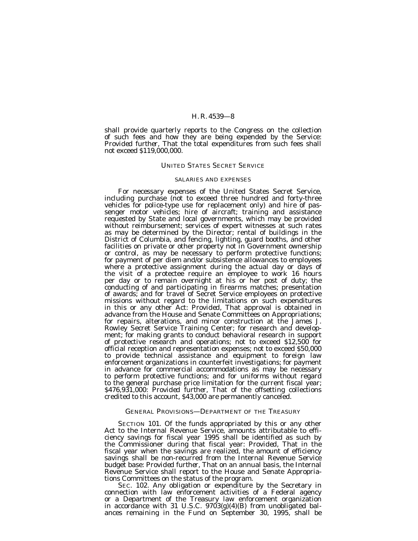shall provide quarterly reports to the Congress on the collection of such fees and how they are being expended by the Service: *Provided further,* That the total expenditures from such fees shall not exceed \$119,000,000.

## UNITED STATES SECRET SERVICE

#### SALARIES AND EXPENSES

For necessary expenses of the United States Secret Service, including purchase (not to exceed three hundred and forty-three vehicles for police-type use for replacement only) and hire of passenger motor vehicles; hire of aircraft; training and assistance requested by State and local governments, which may be provided without reimbursement; services of expert witnesses at such rates as may be determined by the Director; rental of buildings in the District of Columbia, and fencing, lighting, guard booths, and other facilities on private or other property not in Government ownership or control, as may be necessary to perform protective functions; for payment of per diem and/or subsistence allowances to employees where a protective assignment during the actual day or days of the visit of a protectee require an employee to work 16 hours per day or to remain overnight at his or her post of duty; the conducting of and participating in firearms matches; presentation of awards; and for travel of Secret Service employees on protective missions without regard to the limitations on such expenditures in this or any other Act: *Provided,* That approval is obtained in advance from the House and Senate Committees on Appropriations; for repairs, alterations, and minor construction at the James J. Rowley Secret Service Training Center; for research and development; for making grants to conduct behavioral research in support of protective research and operations; not to exceed \$12,500 for official reception and representation expenses; not to exceed \$50,000 to provide technical assistance and equipment to foreign law enforcement organizations in counterfeit investigations; for payment in advance for commercial accommodations as may be necessary to perform protective functions; and for uniforms without regard to the general purchase price limitation for the current fiscal year; \$476,931,000: *Provided further,* That of the offsetting collections credited to this account, \$43,000 are permanently canceled.

## GENERAL PROVISIONS—DEPARTMENT OF THE TREASURY

SECTION 101. Of the funds appropriated by this or any other Act to the Internal Revenue Service, amounts attributable to efficiency savings for fiscal year 1995 shall be identified as such by the Commissioner during that fiscal year: *Provided,* That in the fiscal year when the savings are realized, the amount of efficiency savings shall be non-recurred from the Internal Revenue Service budget base: *Provided further,* That on an annual basis, the Internal Revenue Service shall report to the House and Senate Appropriations Committees on the status of the program.

SEC. 102. Any obligation or expenditure by the Secretary in connection with law enforcement activities of a Federal agency or a Department of the Treasury law enforcement organization in accordance with 31 U.S.C.  $9703(g)(4)(B)$  from unobligated balances remaining in the Fund on September 30, 1995, shall be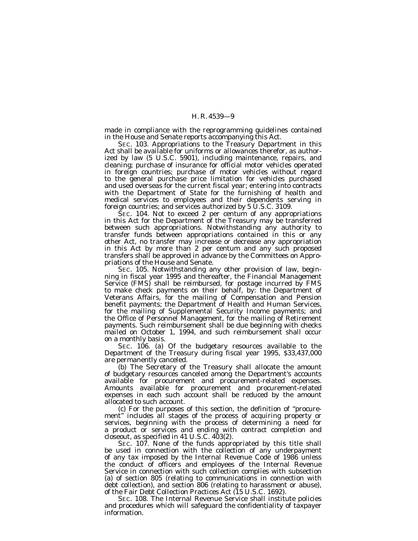made in compliance with the reprogramming guidelines contained in the House and Senate reports accompanying this Act.

SEC. 103. Appropriations to the Treasury Department in this Act shall be available for uniforms or allowances therefor, as authorized by law (5 U.S.C. 5901), including maintenance, repairs, and cleaning; purchase of insurance for official motor vehicles operated in foreign countries; purchase of motor vehicles without regard to the general purchase price limitation for vehicles purchased and used overseas for the current fiscal year; entering into contracts with the Department of State for the furnishing of health and medical services to employees and their dependents serving in foreign countries; and services authorized by 5 U.S.C. 3109.

SEC. 104. Not to exceed 2 per centum of any appropriations in this Act for the Department of the Treasury may be transferred between such appropriations. Notwithstanding any authority to transfer funds between appropriations contained in this or any other Act, no transfer may increase or decrease any appropriation in this Act by more than 2 per centum and any such proposed transfers shall be approved in advance by the Committees on Appropriations of the House and Senate.

SEC. 105. Notwithstanding any other provision of law, beginning in fiscal year 1995 and thereafter, the Financial Management Service (FMS) shall be reimbursed, for postage incurred by FMS to make check payments on their behalf, by: the Department of Veterans Affairs, for the mailing of Compensation and Pension benefit payments; the Department of Health and Human Services, for the mailing of Supplemental Security Income payments; and the Office of Personnel Management, for the mailing of Retirement payments. Such reimbursement shall be due beginning with checks mailed on October 1, 1994, and such reimbursement shall occur on a monthly basis.

SEC. 106. (a) Of the budgetary resources available to the Department of the Treasury during fiscal year 1995, \$33,437,000 are permanently canceled.

(b) The Secretary of the Treasury shall allocate the amount of budgetary resources canceled among the Department's accounts available for procurement and procurement-related expenses. Amounts available for procurement and procurement-related expenses in each such account shall be reduced by the amount allocated to such account.

(c) For the purposes of this section, the definition of ''procurement'' includes all stages of the process of acquiring property or services, beginning with the process of determining a need for a product or services and ending with contract completion and closeout, as specified in 41 U.S.C. 403(2).

SEC. 107. None of the funds appropriated by this title shall be used in connection with the collection of any underpayment of any tax imposed by the Internal Revenue Code of 1986 unless the conduct of officers and employees of the Internal Revenue Service in connection with such collection complies with subsection (a) of section 805 (relating to communications in connection with debt collection), and section 806 (relating to harassment or abuse), of the Fair Debt Collection Practices Act (15 U.S.C. 1692).

SEC. 108. The Internal Revenue Service shall institute policies and procedures which will safeguard the confidentiality of taxpayer information.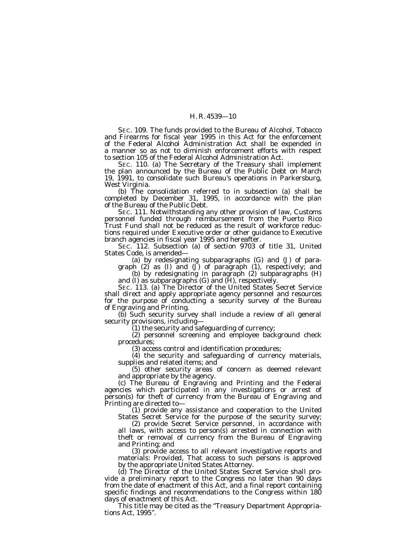SEC. 109. The funds provided to the Bureau of Alcohol, Tobacco and Firearms for fiscal year 1995 in this Act for the enforcement of the Federal Alcohol Administration Act shall be expended in a manner so as not to diminish enforcement efforts with respect to section 105 of the Federal Alcohol Administration Act.

SEC. 110. (a) The Secretary of the Treasury shall implement the plan announced by the Bureau of the Public Debt on March 19, 1991, to consolidate such Bureau's operations in Parkersburg, West Virginia.

(b) The consolidation referred to in subsection (a) shall be completed by December 31, 1995, in accordance with the plan of the Bureau of the Public Debt.

SEC. 111. Notwithstanding any other provision of law, Customs personnel funded through reimbursement from the Puerto Rico Trust Fund shall not be reduced as the result of workforce reductions required under Executive order or other guidance to Executive branch agencies in fiscal year 1995 and hereafter.

SEC. 112. Subsection (a) of section 9703 of title 31, United States Code, is amended—

(a) by redesignating subparagraphs (G) and (J) of paragraph (2) as (I) and (J) of paragraph (1), respectively; and

(b) by redesignating in paragraph (2) subparagraphs (H) and (I) as subparagraphs (G) and (H), respectively.

SEC. 113. (a) The Director of the United States Secret Service shall direct and apply appropriate agency personnel and resources for the purpose of conducting a security survey of the Bureau of Engraving and Printing.

(b) Such security survey shall include a review of all general security provisions, including—

 $(1)$  the security and safeguarding of currency;

(2) personnel screening and employee background check procedures;

(3) access control and identification procedures;

(4) the security and safeguarding of currency materials, supplies and related items; and

(5) other security areas of concern as deemed relevant and appropriate by the agency.

(c) The Bureau of Engraving and Printing and the Federal agencies which participated in any investigations or arrest of person(s) for theft of currency from the Bureau of Engraving and Printing are directed to— (1) provide any assistance and cooperation to the United

States Secret Service for the purpose of the security survey; (2) provide Secret Service personnel, in accordance with all laws, with access to person(s) arrested in connection with theft or removal of currency from the Bureau of Engraving and Printing; and

(3) provide access to all relevant investigative reports and materials: *Provided,* That access to such persons is approved by the appropriate United States Attorney.

(d) The Director of the United States Secret Service shall provide a preliminary report to the Congress no later than 90 days from the date of enactment of this Act, and a final report containing specific findings and recommendations to the Congress within 180 days of enactment of this Act.

This title may be cited as the ''Treasury Department Appropriations Act, 1995''.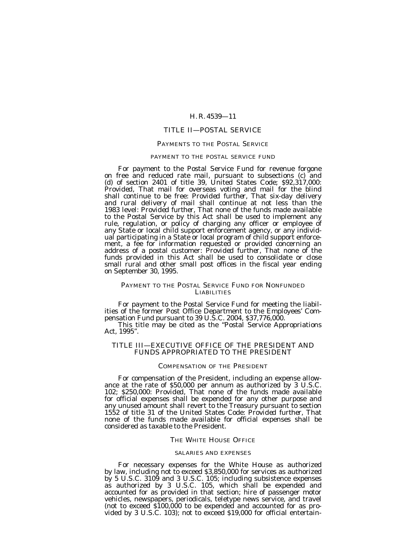## TITLE II—POSTAL SERVICE

#### PAYMENTS TO THE POSTAL SERVICE

## PAYMENT TO THE POSTAL SERVICE FUND

For payment to the Postal Service Fund for revenue forgone on free and reduced rate mail, pursuant to subsections (c) and (d) of section 2401 of title 39, United States Code; \$92,317,000: *Provided,* That mail for overseas voting and mail for the blind shall continue to be free: *Provided further,* That six-day delivery and rural delivery of mail shall continue at not less than the 1983 level: *Provided further,* That none of the funds made available to the Postal Service by this Act shall be used to implement any rule, regulation, or policy of charging any officer or employee of any State or local child support enforcement agency, or any individual participating in a State or local program of child support enforcement, a fee for information requested or provided concerning an address of a postal customer: *Provided further,* That none of the funds provided in this Act shall be used to consolidate or close small rural and other small post offices in the fiscal year ending on September 30, 1995.

## PAYMENT TO THE POSTAL SERVICE FUND FOR NONFUNDED **LIABILITIES**

For payment to the Postal Service Fund for meeting the liabilities of the former Post Office Department to the Employees' Compensation Fund pursuant to 39 U.S.C. 2004, \$37,776,000.

This title may be cited as the ''Postal Service Appropriations Act, 1995''.

## TITLE III—EXECUTIVE OFFICE OF THE PRESIDENT AND FUNDS APPROPRIATED TO THE PRESIDENT

#### COMPENSATION OF THE PRESIDENT

For compensation of the President, including an expense allowance at the rate of \$50,000 per annum as authorized by 3 U.S.C. 102; \$250,000: *Provided,* That none of the funds made available for official expenses shall be expended for any other purpose and any unused amount shall revert to the Treasury pursuant to section 1552 of title 31 of the United States Code: *Provided further,* That none of the funds made available for official expenses shall be considered as taxable to the President.

## THE WHITE HOUSE OFFICE

#### SALARIES AND EXPENSES

For necessary expenses for the White House as authorized by law, including not to exceed \$3,850,000 for services as authorized by 5 U.S.C. 3109 and 3 U.S.C. 105; including subsistence expenses as authorized by 3 U.S.C. 105, which shall be expended and accounted for as provided in that section; hire of passenger motor vehicles, newspapers, periodicals, teletype news service, and travel (not to exceed \$100,000 to be expended and accounted for as provided by 3 U.S.C. 103); not to exceed \$19,000 for official entertain-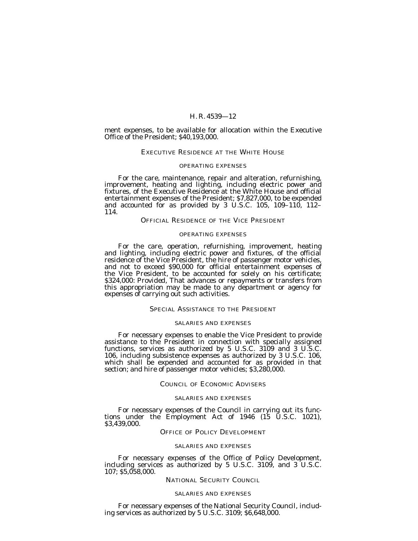ment expenses, to be available for allocation within the Executive Office of the President; \$40,193,000.

## EXECUTIVE RESIDENCE AT THE WHITE HOUSE

## OPERATING EXPENSES

For the care, maintenance, repair and alteration, refurnishing, improvement, heating and lighting, including electric power and fixtures, of the Executive Residence at the White House and official entertainment expenses of the President; \$7,827,000, to be expended and accounted for as provided by 3 U.S.C. 105, 109–110, 112– 114.

## OFFICIAL RESIDENCE OF THE VICE PRESIDENT

#### OPERATING EXPENSES

For the care, operation, refurnishing, improvement, heating and lighting, including electric power and fixtures, of the official residence of the Vice President, the hire of passenger motor vehicles, and not to exceed \$90,000 for official entertainment expenses of the Vice President, to be accounted for solely on his certificate; \$324,000: *Provided,* That advances or repayments or transfers from this appropriation may be made to any department or agency for expenses of carrying out such activities.

## SPECIAL ASSISTANCE TO THE PRESIDENT

## SALARIES AND EXPENSES

For necessary expenses to enable the Vice President to provide assistance to the President in connection with specially assigned functions, services as authorized by 5 U.S.C. 3109 and 3 U.S.C. 106, including subsistence expenses as authorized by 3 U.S.C. 106, which shall be expended and accounted for as provided in that section; and hire of passenger motor vehicles; \$3,280,000.

## COUNCIL OF ECONOMIC ADVISERS

#### SALARIES AND EXPENSES

For necessary expenses of the Council in carrying out its func- tions under the Employment Act of 1946 (15 U.S.C. 1021), \$3,439,000.

## OFFICE OF POLICY DEVELOPMENT

#### SALARIES AND EXPENSES

For necessary expenses of the Office of Policy Development, including services as authorized by 5 U.S.C. 3109, and 3 U.S.C. 107; \$5,058,000.

#### NATIONAL SECURITY COUNCIL

#### SALARIES AND EXPENSES

For necessary expenses of the National Security Council, including services as authorized by 5 U.S.C. 3109; \$6,648,000.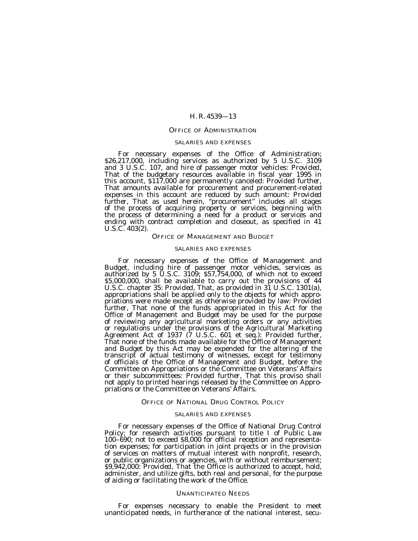## OFFICE OF ADMINISTRATION

## SALARIES AND EXPENSES

For necessary expenses of the Office of Administration; \$26,217,000, including services as authorized by 5 U.S.C. 3109 and 3 U.S.C. 107, and hire of passenger motor vehicles: *Provided,* That of the budgetary resources available in fiscal year 1995 in this account, \$117,000 are permanently canceled: *Provided further,* That amounts available for procurement and procurement-related expenses in this account are reduced by such amount: *Provided further,* That as used herein, "procurement" includes all stages<br>of the process of acquiring property or services, beginning with the process of determining a need for a product or services and ending with contract completion and closeout, as specified in 41 U.S.C. 403(2).

## OFFICE OF MANAGEMENT AND BUDGET

#### SALARIES AND EXPENSES

For necessary expenses of the Office of Management and Budget, including hire of passenger motor vehicles, services as authorized by 5 U.S.C. 3109; \$57,754,000, of which not to exceed \$5,000,000, shall be available to carry out the provisions of 44 U.S.C. chapter 35: *Provided,* That, as provided in 31 U.S.C. 1301(a), appropriations shall be applied only to the objects for which appropriations were made except as otherwise provided by law: *Provided further,* That none of the funds appropriated in this Act for the Office of Management and Budget may be used for the purpose of reviewing any agricultural marketing orders or any activities or regulations under the provisions of the Agricultural Marketing Agreement Act of 1937 (7 U.S.C. 601 et seq.): *Provided further,* That none of the funds made available for the Office of Management and Budget by this Act may be expended for the altering of the transcript of actual testimony of witnesses, except for testimony of officials of the Office of Management and Budget, before the Committee on Appropriations or the Committee on Veterans' Affairs or their subcommittees: *Provided further,* That this proviso shall not apply to printed hearings released by the Committee on Appropriations or the Committee on Veterans' Affairs.

#### OFFICE OF NATIONAL DRUG CONTROL POLICY

#### SALARIES AND EXPENSES

For necessary expenses of the Office of National Drug Control Policy; for research activities pursuant to title I of Public Law 100–690; not to exceed \$8,000 for official reception and representation expenses; for participation in joint projects or in the provision of services on matters of mutual interest with nonprofit, research, or public organizations or agencies, with or without reimbursement; \$9,942,000: *Provided,* That the Office is authorized to accept, hold, administer, and utilize gifts, both real and personal, for the purpose of aiding or facilitating the work of the Office.

#### UNANTICIPATED NEEDS

For expenses necessary to enable the President to meet unanticipated needs, in furtherance of the national interest, secu-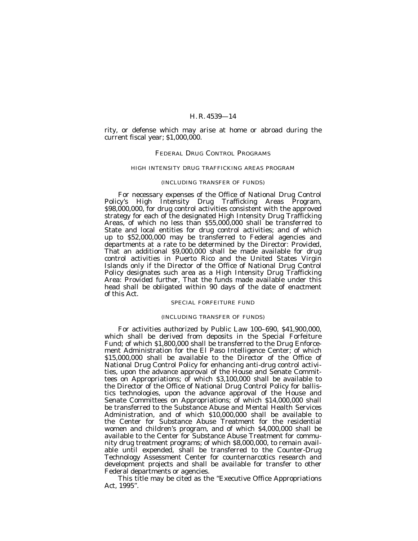rity, or defense which may arise at home or abroad during the current fiscal year; \$1,000,000.

## FEDERAL DRUG CONTROL PROGRAMS

## HIGH INTENSITY DRUG TRAFFICKING AREAS PROGRAM

#### (INCLUDING TRANSFER OF FUNDS)

For necessary expenses of the Office of National Drug Control Policy's High Intensity Drug Trafficking Areas Program, \$98,000,000, for drug control activities consistent with the approved strategy for each of the designated High Intensity Drug Trafficking Areas, of which no less than \$55,000,000 shall be transferred to State and local entities for drug control activities; and of which up to \$52,000,000 may be transferred to Federal agencies and departments at a rate to be determined by the Director: *Provided,* That an additional \$9,000,000 shall be made available for drug control activities in Puerto Rico and the United States Virgin Islands only if the Director of the Office of National Drug Control Policy designates such area as a High Intensity Drug Trafficking Area: *Provided further,* That the funds made available under this head shall be obligated within 90 days of the date of enactment of this Act.

#### SPECIAL FORFEITURE FUND

#### (INCLUDING TRANSFER OF FUNDS)

For activities authorized by Public Law 100–690, \$41,900,000, which shall be derived from deposits in the Special Forfeiture Fund; of which \$1,800,000 shall be transferred to the Drug Enforcement Administration for the El Paso Intelligence Center; of which \$15,000,000 shall be available to the Director of the Office of National Drug Control Policy for enhancing anti-drug control activities, upon the advance approval of the House and Senate Committees on Appropriations; of which \$3,100,000 shall be available to the Director of the Office of National Drug Control Policy for ballistics technologies, upon the advance approval of the House and Senate Committees on Appropriations; of which \$14,000,000 shall be transferred to the Substance Abuse and Mental Health Services Administration, and of which \$10,000,000 shall be available to the Center for Substance Abuse Treatment for the residential women and children's program, and of which \$4,000,000 shall be available to the Center for Substance Abuse Treatment for community drug treatment programs; of which \$8,000,000, to remain available until expended, shall be transferred to the Counter-Drug Technology Assessment Center for counternarcotics research and development projects and shall be available for transfer to other Federal departments or agencies.

This title may be cited as the ''Executive Office Appropriations Act, 1995''.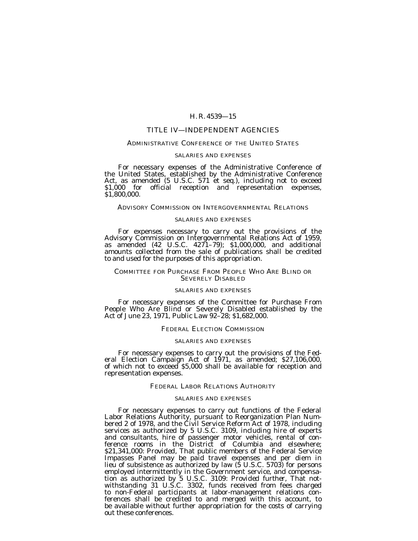## TITLE IV—INDEPENDENT AGENCIES

## ADMINISTRATIVE CONFERENCE OF THE UNITED STATES

#### SALARIES AND EXPENSES

For necessary expenses of the Administrative Conference of the United States, established by the Administrative Conference Act, as amended (5 U.S.C. 571 et seq.), including not to exceed \$1,000 for official reception and representation expenses, \$1,800,000.

## ADVISORY COMMISSION ON INTERGOVERNMENTAL RELATIONS

#### SALARIES AND EXPENSES

For expenses necessary to carry out the provisions of the Advisory Commission on Intergovernmental Relations Act of 1959, as amended (42 U.S.C. 4271–79); \$1,000,000, and additional amounts collected from the sale of publications shall be credited to and used for the purposes of this appropriation.

#### COMMITTEE FOR PURCHASE FROM PEOPLE WHO ARE BLIND OR SEVERELY DISABLED

## SALARIES AND EXPENSES

For necessary expenses of the Committee for Purchase From People Who Are Blind or Severely Disabled established by the Act of June 23, 1971, Public Law 92–28; \$1,682,000.

#### FEDERAL ELECTION COMMISSION

## SALARIES AND EXPENSES

For necessary expenses to carry out the provisions of the Fed- eral Election Campaign Act of 1971, as amended; \$27,106,000, of which not to exceed \$5,000 shall be available for reception and representation expenses.

#### FEDERAL LABOR RELATIONS AUTHORITY

## SALARIES AND EXPENSES

For necessary expenses to carry out functions of the Federal Labor Relations Authority, pursuant to Reorganization Plan Numbered 2 of 1978, and the Čivil Service Reform Act of 1978, including services as authorized by 5 U.S.C. 3109, including hire of experts and consultants, hire of passenger motor vehicles, rental of conference rooms in the District of Columbia and elsewhere; \$21,341,000: *Provided,* That public members of the Federal Service Impasses Panel may be paid travel expenses and per diem in lieu of subsistence as authorized by law (5 U.S.C. 5703) for persons employed intermittently in the Government service, and compensation as authorized by 5 U.S.C. 3109: *Provided further,* That notwithstanding 31 U.S.C. 3302, funds received from fees charged to non-Federal participants at labor-management relations conferences shall be credited to and merged with this account, to be available without further appropriation for the costs of carrying out these conferences.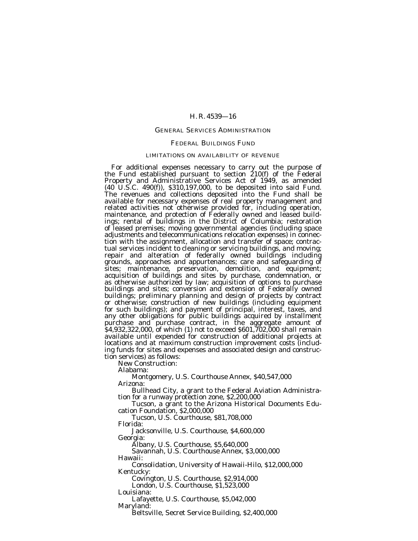## GENERAL SERVICES ADMINISTRATION

#### FEDERAL BUILDINGS FUND

## LIMITATIONS ON AVAILABILITY OF REVENUE

For additional expenses necessary to carry out the purpose of the Fund established pursuant to section 210(f) of the Federal Property and Administrative Services Act of 1949, as amended (40 U.S.C. 490(f)), \$310,197,000, to be deposited into said Fund. The revenues and collections deposited into the Fund shall be available for necessary expenses of real property management and related activities not otherwise provided for, including operation, maintenance, and protection of Federally owned and leased buildings; rental of buildings in the District of Columbia; restoration of leased premises; moving governmental agencies (including space adjustments and telecommunications relocation expenses) in connection with the assignment, allocation and transfer of space; contractual services incident to cleaning or servicing buildings, and moving; repair and alteration of federally owned buildings including grounds, approaches and appurtenances; care and safeguarding of sites; maintenance, preservation, demolition, and equipment; acquisition of buildings and sites by purchase, condemnation, or as otherwise authorized by law; acquisition of options to purchase buildings and sites; conversion and extension of Federally owned buildings; preliminary planning and design of projects by contract or otherwise; construction of new buildings (including equipment for such buildings); and payment of principal, interest, taxes, and any other obligations for public buildings acquired by installment purchase and purchase contract, in the aggregate amount of \$4,932,322,000, of which (1) not to exceed \$601,702,000 shall remain available until expended for construction of additional projects at locations and at maximum construction improvement costs (including funds for sites and expenses and associated design and construction services) as follows:

New Construction:

Alabama:

Montgomery, U.S. Courthouse Annex, \$40,547,000

Arizona:<br>Bullhead City, a grant to the Federal Aviation Administra-

tion for a runway protection zone, \$2,200,000<br>Tucson, a grant to the Arizona Historical Documents Edu-<br>cation Foundation, \$2,000,000

Tucson, U.S. Courthouse, \$81,708,000

Florida:

Jacksonville, U.S. Courthouse, \$4,600,000

Georgia: Albany, U.S. Courthouse, \$5,640,000

Savannah, U.S. Courthouse Annex, \$3,000,000

Hawaii:

Consolidation, University of Hawaii-Hilo, \$12,000,000 Kentucky:

Covington, U.S. Courthouse, \$2,914,000

London, U.S. Courthouse, \$1,523,000

Louisiana:

Lafayette, U.S. Courthouse, \$5,042,000

Maryland:

Beltsville, Secret Service Building, \$2,400,000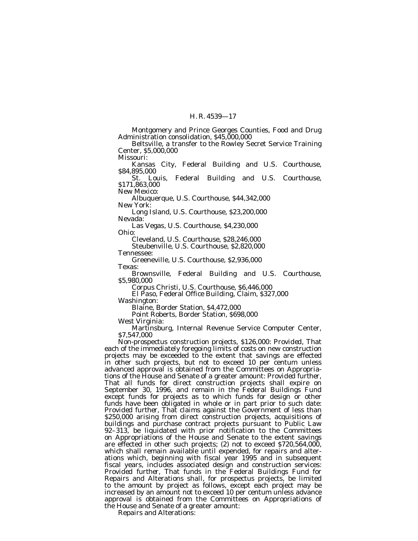Montgomery and Prince Georges Counties, Food and Drug Administration consolidation, \$45,000,000

Beltsville, a transfer to the Rowley Secret Service Training Center, \$5,000,000

Missouri:

Kansas City, Federal Building and U.S. Courthouse, \$84,895,000

St. Louis, Federal Building and U.S. Courthouse, \$171,863,000

New Mexico:

Albuquerque, U.S. Courthouse, \$44,342,000 New York:

Long Island, U.S. Courthouse, \$23,200,000 Nevada:

Las Vegas, U.S. Courthouse, \$4,230,000 Ohio:

Cleveland, U.S. Courthouse, \$28,246,000 Steubenville, U.S. Courthouse, \$2,820,000

Tennessee:

Greeneville, U.S. Courthouse, \$2,936,000 Texas:

Brownsville, Federal Building and U.S. Courthouse, \$5,980,000

Corpus Christi, U.S. Courthouse, \$6,446,000

El Paso, Federal Office Building, Claim, \$327,000 Washington:

Blaine, Border Station, \$4,472,000

Point Roberts, Border Station, \$698,000

West Virginia:

Martinsburg, Internal Revenue Service Computer Center, \$7,547,000

Non-prospectus construction projects, \$126,000: *Provided,* That each of the immediately foregoing limits of costs on new construction projects may be exceeded to the extent that savings are effected in other such projects, but not to exceed 10 per centum unless advanced approval is obtained from the Committees on Appropriations of the House and Senate of a greater amount: *Provided further,* That all funds for direct construction projects shall expire on September 30, 1996, and remain in the Federal Buildings Fund except funds for projects as to which funds for design or other funds have been obligated in whole or in part prior to such date: *Provided further,* That claims against the Government of less than \$250,000 arising from direct construction projects, acquisitions of buildings and purchase contract projects pursuant to Public Law 92–313, be liquidated with prior notification to the Committees on Appropriations of the House and Senate to the extent savings are effected in other such projects; (2) not to exceed \$720,564,000, which shall remain available until expended, for repairs and alterations which, beginning with fiscal year 1995 and in subsequent fiscal years, includes associated design and construction services: *Provided further*, That funds in the Federal Buildings Fund for Repairs and Alterations shall, for prospectus projects, be limited to the amount by project as follows, except each project may be increased by an amount not to exceed 10 per centum unless advance approval is obtained from the Committees on Appropriations of the House and Senate of a greater amount:

Repairs and Alterations: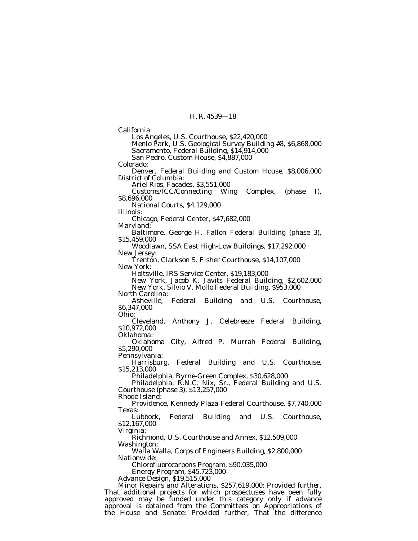Los Angeles, U.S. Courthouse, \$22,420,000 Menlo Park, U.S. Geological Survey Building #3, \$6,868,000 Sacramento, Federal Building, \$14,914,000 San Pedro, Custom House, \$4,887,000 Colorado:

California:

Denver, Federal Building and Custom House, \$8,006,000 District of Columbia:

Ariel Rios, Facades, \$3,551,000

Customs/ICC/Connecting Wing Complex, (phase I), \$8,696,000

National Courts, \$4,129,000

Illinois:

Chicago, Federal Center, \$47,682,000

Maryland:

Baltimore, George H. Fallon Federal Building (phase 3), \$15,459,000

Woodlawn, SSA East High-Low Buildings, \$17,292,000 New Jersey:

Trenton, Clarkson S. Fisher Courthouse, \$14,107,000 New York:

Holtsville, IRS Service Center, \$19,183,000

New York, Jacob K. Javits Federal Building, \$2,602,000 New York, Silvio V. Mollo Federal Building, \$953,000

North Carolina: Federal Building and U.S. Courthouse, \$6,347,000

Ohio:

Cleveland, Anthony J. Celebreeze Federal Building, \$10,972,000 Oklahoma:

Oklahoma City, Alfred P. Murrah Federal Building, \$5,290,000

Pennsylvania:

Harrisburg, Federal Building and U.S. Courthouse, \$15,213,000

Philadelphia, Byrne-Green Complex, \$30,628,000

Philadelphia, R.N.C. Nix, Sr., Federal Building and U.S. Courthouse (phase 3), \$13,257,000

Rhode Island:

Providence, Kennedy Plaza Federal Courthouse, \$7,740,000 Texas:

Lubbock, Federal Building and U.S. Courthouse, \$12,167,000

Virginia:

Richmond, U.S. Courthouse and Annex, \$12,509,000 Washington:

Walla Walla, Corps of Engineers Building, \$2,800,000 Nationwide:

Chlorofluorocarbons Program, \$90,035,000

Energy Program, \$45,723,000

Advance Design, \$19,515,000

Minor Repairs and Alterations, \$257,619,000: *Provided further,* That additional projects for which prospectuses have been fully approved may be funded under this category only if advance approval is obtained from the Committees on Appropriations of the House and Senate: *Provided further*, That the difference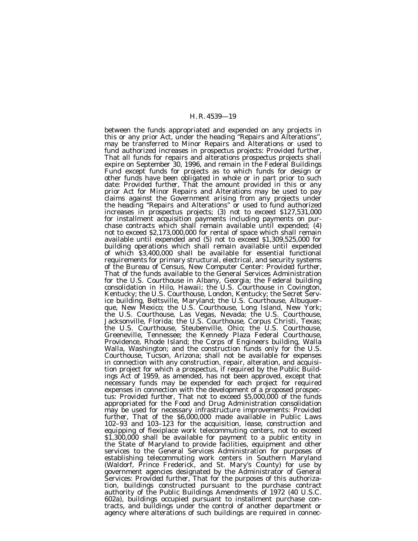between the funds appropriated and expended on any projects in this or any prior Act, under the heading ''Repairs and Alterations'', may be transferred to Minor Repairs and Alterations or used to fund authorized increases in prospectus projects: *Provided further,* That all funds for repairs and alterations prospectus projects shall expire on September 30, 1996, and remain in the Federal Buildings Fund except funds for projects as to which funds for design or other funds have been obligated in whole or in part prior to such date: *Provided further,* That the amount provided in this or any prior Act for Minor Repairs and Alterations may be used to pay claims against the Government arising from any projects under the heading ''Repairs and Alterations'' or used to fund authorized increases in prospectus projects; (3) not to exceed \$127,531,000 for installment acquisition payments including payments on purchase contracts which shall remain available until expended; (4) not to exceed \$2,173,000,000 for rental of space which shall remain available until expended and (5) not to exceed \$1,309,525,000 for building operations which shall remain available until expended of which \$3,400,000 shall be available for essential functional requirements for primary structural, electrical, and security systems of the Bureau of Census, New Computer Center: *Provided further*, That of the funds available to the General Services Administration for the U.S. Courthouse in Albany, Georgia; the Federal building consolidation in Hilo, Hawaii; the U.S. Courthouse in Covington, Kentucky; the U.S. Courthouse, London, Kentucky; the Secret Service building, Beltsville, Maryland; the U.S. Courthouse, Albuquerque, New Mexico; the U.S. Courthouse, Long Island, New York; the U.S. Courthouse, Las Vegas, Nevada; the U.S. Courthouse, Jacksonville, Florida; the U.S. Courthouse, Corpus Christi, Texas; the U.S. Courthouse, Steubenville, Ohio; the U.S. Courthouse, Greeneville, Tennessee; the Kennedy Plaza Federal Courthouse, Providence, Rhode Island; the Corps of Engineers building, Walla Walla, Washington; and the construction funds only for the U.S. Courthouse, Tucson, Arizona; shall not be available for expenses in connection with any construction, repair, alteration, and acquisition project for which a prospectus, if required by the Public Buildings Act of 1959, as amended, has not been approved, except that necessary funds may be expended for each project for required expenses in connection with the development of a proposed prospectus: *Provided further*, That not to exceed \$5,000,000 of the funds appropriated for the Food and Drug Administration consolidation may be used for necessary infrastructure improvements: *Provided further*, That of the \$6,000,000 made available in Public Laws 102–93 and 103–123 for the acquisition, lease, construction and equipping of flexiplace work telecommuting centers, not to exceed \$1,300,000 shall be available for payment to a public entity in the State of Maryland to provide facilities, equipment and other services to the General Services Administration for purposes of establishing telecommuting work centers in Southern Maryland (Waldorf, Prince Frederick, and St. Mary's County) for use by government agencies designated by the Administrator of General Services: *Provided further*, That for the purposes of this authorization, buildings constructed pursuant to the purchase contract authority of the Public Buildings Amendments of 1972 (40 U.S.C. 602a), buildings occupied pursuant to installment purchase contracts, and buildings under the control of another department or agency where alterations of such buildings are required in connec-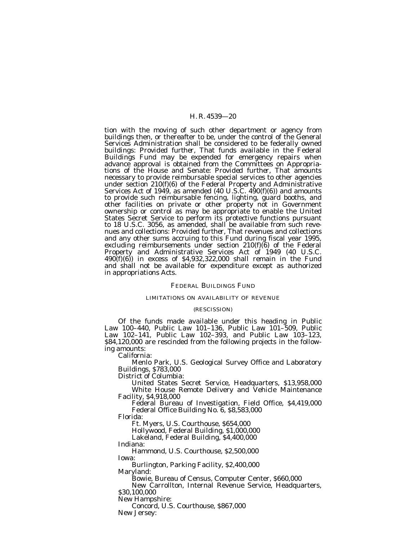tion with the moving of such other department or agency from buildings then, or thereafter to be, under the control of the General Services Administration shall be considered to be federally owned buildings: *Provided further*, That funds available in the Federal Buildings Fund may be expended for emergency repairs when advance approval is obtained from the Committees on Appropriations of the House and Senate: *Provided further*, That amounts necessary to provide reimbursable special services to other agencies under section 210(f)(6) of the Federal Property and Administrative Services Act of 1949, as amended (40 U.S.C.  $490(f)(6)$ ) and amounts to provide such reimbursable fencing, lighting, guard booths, and other facilities on private or other property not in Government ownership or control as may be appropriate to enable the United States Secret Service to perform its protective functions pursuant to 18 U.S.C. 3056, as amended, shall be available from such revenues and collections: *Provided further,* That revenues and collections and any other sums accruing to this Fund during fiscal year 1995, excluding reimbursements under section 210(f)(6) of the Federal Property and Administrative Services Act of 1949 (40 U.S.C. 490(f)(6)) in excess of \$4,932,322,000 shall remain in the Fund and shall not be available for expenditure except as authorized in appropriations Acts.

#### FEDERAL BUILDINGS FUND

## LIMITATIONS ON AVAILABILITY OF REVENUE

#### (RESCISSION)

Of the funds made available under this heading in Public Law 100–440, Public Law 101–136, Public Law 101–509, Public Law 102–141, Public Law 102–393, and Public Law 103–123, \$84,120,000 are rescinded from the following projects in the following amounts:

California:

Menlo Park, U.S. Geological Survey Office and Laboratory Buildings, \$783,000

District of Columbia:

United States Secret Service, Headquarters, \$13,958,000 White House Remote Delivery and Vehicle Maintenance Facility, \$4,918,000

Federal Bureau of Investigation, Field Office, \$4,419,000 Federal Office Building No. 6, \$8,583,000

Florida:

Ft. Myers, U.S. Courthouse, \$654,000

Hollywood, Federal Building, \$1,000,000

Lakeland, Federal Building, \$4,400,000

Indiana:

Hammond, U.S. Courthouse, \$2,500,000 Iowa:

Burlington, Parking Facility, \$2,400,000 Maryland:

Bowie, Bureau of Census, Computer Center, \$660,000

New Carrollton, Internal Revenue Service, Headquarters, \$30,100,000

New Hampshire:

Concord, U.S. Courthouse, \$867,000

New Jersey: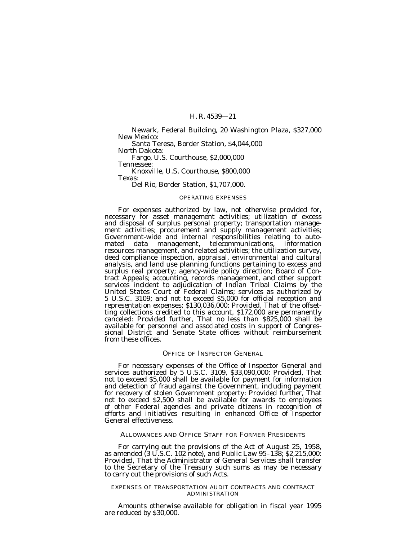Newark, Federal Building, 20 Washington Plaza, \$327,000 New Mexico:

Santa Teresa, Border Station, \$4,044,000

North Dakota:

Fargo, U.S. Courthouse, \$2,000,000 Tennessee:

Knoxville, U.S. Courthouse, \$800,000 Texas:

Del Rio, Border Station, \$1,707,000.

#### OPERATING EXPENSES

For expenses authorized by law, not otherwise provided for, necessary for asset management activities; utilization of excess and disposal of surplus personal property; transportation management activities; procurement and supply management activities; Government-wide and internal responsibilities relating to automated data management, telecommunications, information resources management, and related activities; the utilization survey, deed compliance inspection, appraisal, environmental and cultural analysis, and land use planning functions pertaining to excess and surplus real property; agency-wide policy direction; Board of Contract Appeals; accounting, records management, and other support services incident to adjudication of Indian Tribal Claims by the United States Court of Federal Claims; services as authorized by 5 U.S.C. 3109; and not to exceed \$5,000 for official reception and representation expenses; \$130,036,000: *Provided,* That of the offsetting collections credited to this account, \$172,000 are permanently canceled: *Provided further,* That no less than \$825,000 shall be available for personnel and associated costs in support of Congressional District and Senate State offices without reimbursement from these offices.

#### OFFICE OF INSPECTOR GENERAL

For necessary expenses of the Office of Inspector General and services authorized by 5 U.S.C. 3109, \$33,090,000: *Provided,* That not to exceed \$5,000 shall be available for payment for information and detection of fraud against the Government, including payment for recovery of stolen Government property: *Provided further,* That not to exceed \$2,500 shall be available for awards to employees of other Federal agencies and private citizens in recognition of efforts and initiatives resulting in enhanced Office of Inspector General effectiveness.

ALLOWANCES AND OFFICE STAFF FOR FORMER PRESIDENTS

For carrying out the provisions of the Act of August 25, 1958, as amended (3 U.S.C. 102 note), and Public Law 95–138; \$2,215,000: *Provided,* That the Administrator of General Services shall transfer to the Secretary of the Treasury such sums as may be necessary to carry out the provisions of such Acts.

#### EXPENSES OF TRANSPORTATION AUDIT CONTRACTS AND CONTRACT ADMINISTRATION

Amounts otherwise available for obligation in fiscal year 1995 are reduced by \$30,000.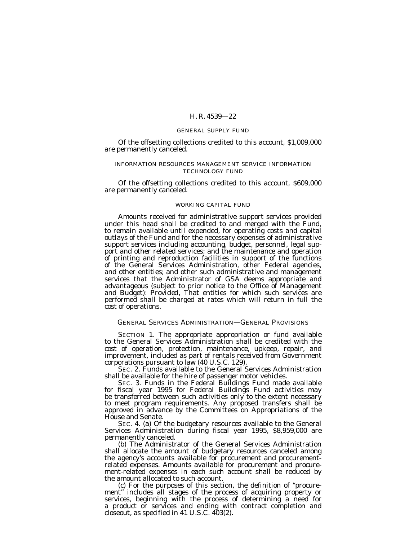## GENERAL SUPPLY FUND

Of the offsetting collections credited to this account, \$1,009,000 are permanently canceled.

## INFORMATION RESOURCES MANAGEMENT SERVICE INFORMATION TECHNOLOGY FUND

Of the offsetting collections credited to this account, \$609,000 are permanently canceled.

## WORKING CAPITAL FUND

Amounts received for administrative support services provided under this head shall be credited to and merged with the Fund, to remain available until expended, for operating costs and capital outlays of the Fund and for the necessary expenses of administrative support services including accounting, budget, personnel, legal support and other related services; and the maintenance and operation of printing and reproduction facilities in support of the functions of the General Services Administration, other Federal agencies, and other entities; and other such administrative and management services that the Administrator of GSA deems appropriate and advantageous (subject to prior notice to the Office of Management and Budget): *Provided,* That entities for which such services are performed shall be charged at rates which will return in full the cost of operations.

## GENERAL SERVICES ADMINISTRATION—GENERAL PROVISIONS

SECTION 1. The appropriate appropriation or fund available to the General Services Administration shall be credited with the cost of operation, protection, maintenance, upkeep, repair, and improvement, included as part of rentals received from Government corporations pursuant to law (40 U.S.C. 129).

SEC. 2. Funds available to the General Services Administration shall be available for the hire of passenger motor vehicles.

SEC. 3. Funds in the Federal Buildings Fund made available for fiscal year 1995 for Federal Buildings Fund activities may be transferred between such activities only to the extent necessary to meet program requirements. Any proposed transfers shall be approved in advance by the Committees on Appropriations of the House and Senate.

SEC. 4. (a) Of the budgetary resources available to the General Services Administration during fiscal year 1995, \$8,959,000 are permanently canceled. (b) The Administrator of the General Services Administration

shall allocate the amount of budgetary resources canceled among the agency's accounts available for procurement and procurementrelated expenses. Amounts available for procurement and procurement-related expenses in each such account shall be reduced by the amount allocated to such account.

(c) For the purposes of this section, the definition of ''procurement'' includes all stages of the process of acquiring property or services, beginning with the process of determining a need for a product or services and ending with contract completion and closeout, as specified in 41 U.S.C.  $403(2)$ .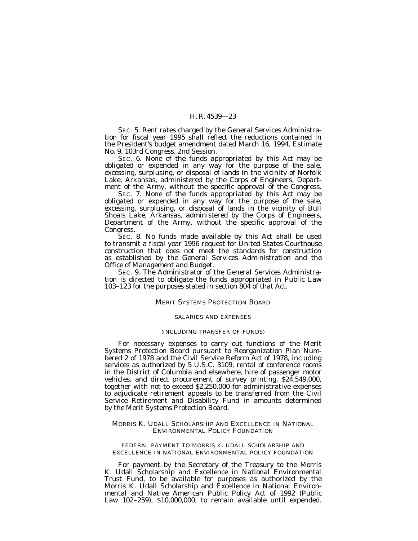SEC. 5. Rent rates charged by the General Services Administration for fiscal year 1995 shall reflect the reductions contained in the President's budget amendment dated March 16, 1994, Estimate No. 9, 103rd Congress, 2nd Session.

SEC. 6. None of the funds appropriated by this Act may be obligated or expended in any way for the purpose of the sale, excessing, surplusing, or disposal of lands in the vicinity of Norfolk Lake, Arkansas, administered by the Corps of Engineers, Department of the Army, without the specific approval of the Congress.

SEC. 7. None of the funds appropriated by this Act may be obligated or expended in any way for the purpose of the sale, excessing, surplusing, or disposal of lands in the vicinity of Bull Shoals Lake, Arkansas, administered by the Corps of Engineers, Department of the Army, without the specific approval of the Congress.

SEC. 8. No funds made available by this Act shall be used to transmit a fiscal year 1996 request for United States Courthouse construction that does not meet the standards for construction as established by the General Services Administration and the Office of Management and Budget.

SEC. 9. The Administrator of the General Services Administration is directed to obligate the funds appropriated in Public Law 103–123 for the purposes stated in section 804 of that Act.

#### MERIT SYSTEMS PROTECTION BOARD

#### SALARIES AND EXPENSES

#### (INCLUDING TRANSFER OF FUNDS)

For necessary expenses to carry out functions of the Merit Systems Protection Board pursuant to Reorganization Plan Numbered 2 of 1978 and the Civil Service Reform Act of 1978, including services as authorized by 5 U.S.C. 3109, rental of conference rooms in the District of Columbia and elsewhere, hire of passenger motor vehicles, and direct procurement of survey printing, \$24,549,000, together with not to exceed \$2,250,000 for administrative expenses to adjudicate retirement appeals to be transferred from the Civil Service Retirement and Disability Fund in amounts determined by the Merit Systems Protection Board.

## MORRIS K. UDALL SCHOLARSHIP AND EXCELLENCE IN NATIONAL ENVIRONMENTAL POLICY FOUNDATION

## FEDERAL PAYMENT TO MORRIS K. UDALL SCHOLARSHIP AND EXCELLENCE IN NATIONAL ENVIRONMENTAL POLICY FOUNDATION

For payment by the Secretary of the Treasury to the Morris K. Udall Scholarship and Excellence in National Environmental Trust Fund, to be available for purposes as authorized by the Morris K. Udall Scholarship and Excellence in National Environmental and Native American Public Policy Act of 1992 (Public Law 102–259), \$10,000,000, to remain available until expended.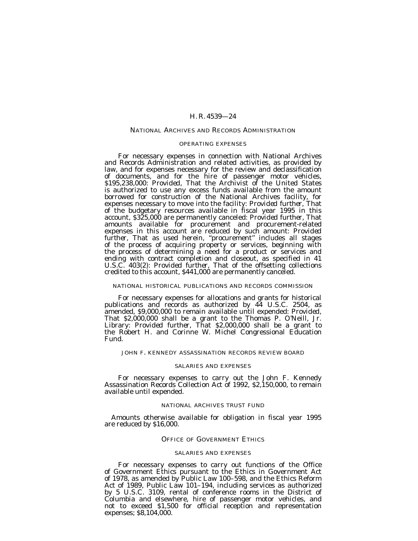## NATIONAL ARCHIVES AND RECORDS ADMINISTRATION

#### OPERATING EXPENSES

For necessary expenses in connection with National Archives and Records Administration and related activities, as provided by law, and for expenses necessary for the review and declassification of documents, and for the hire of passenger motor vehicles, \$195,238,000: *Provided,* That the Archivist of the United States is authorized to use any excess funds available from the amount borrowed for construction of the National Archives facility, for expenses necessary to move into the facility: *Provided further,* That of the budgetary resources available in fiscal year 1995 in this account, \$325,000 are permanently canceled: *Provided further,* That amounts available for procurement and procurement-related expenses in this account are reduced by such amount: *Provided further,* That as used herein, ''procurement'' includes all stages of the process of acquiring property or services, beginning with the process of determining a need for a product or services and ending with contract completion and closeout, as specified in 41 U.S.C. 403(2): *Provided further,* That of the offsetting collections credited to this account, \$441,000 are permanently canceled.

## NATIONAL HISTORICAL PUBLICATIONS AND RECORDS COMMISSION

For necessary expenses for allocations and grants for historical publications and records as authorized by 44 U.S.C. 2504, as amended, \$9,000,000 to remain available until expended: *Provided,* That \$2,000,000 shall be a grant to the Thomas P. O'Neill, Jr. Library: *Provided further,* That \$2,000,000 shall be a grant to the Robert H. and Corinne W. Michel Congressional Education Fund.

## JOHN F. KENNEDY ASSASSINATION RECORDS REVIEW BOARD

#### SALARIES AND EXPENSES

For necessary expenses to carry out the John F. Kennedy Assassination Records Collection Act of 1992, \$2,150,000, to remain available until expended.

#### NATIONAL ARCHIVES TRUST FUND

Amounts otherwise available for obligation in fiscal year 1995 are reduced by \$16,000.

## OFFICE OF GOVERNMENT ETHICS

#### SALARIES AND EXPENSES

For necessary expenses to carry out functions of the Office of Government Ethics pursuant to the Ethics in Government Act of 1978, as amended by Public Law 100–598, and the Ethics Reform Act of 1989, Public Law 101-194, including services as authorized by 5 U.S.C. 3109, rental of conference rooms in the District of Columbia and elsewhere, hire of passenger motor vehicles, and not to exceed \$1,500 for official reception and representation expenses; \$8,104,000.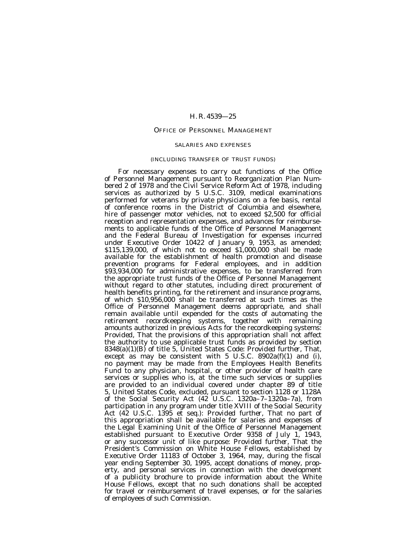## OFFICE OF PERSONNEL MANAGEMENT

#### SALARIES AND EXPENSES

## (INCLUDING TRANSFER OF TRUST FUNDS)

For necessary expenses to carry out functions of the Office of Personnel Management pursuant to Reorganization Plan Numbered 2 of 1978 and the Civil Service Reform Act of 1978, including services as authorized by 5 U.S.C. 3109, medical examinations performed for veterans by private physicians on a fee basis, rental of conference rooms in the District of Columbia and elsewhere, hire of passenger motor vehicles, not to exceed \$2,500 for official reception and representation expenses, and advances for reimbursements to applicable funds of the Office of Personnel Management and the Federal Bureau of Investigation for expenses incurred under Executive Order 10422 of January 9, 1953, as amended; \$115,139,000, of which not to exceed \$1,000,000 shall be made available for the establishment of health promotion and disease prevention programs for Federal employees, and in addition \$93,934,000 for administrative expenses, to be transferred from the appropriate trust funds of the Office of Personnel Management without regard to other statutes, including direct procurement of health benefits printing, for the retirement and insurance programs, of which \$10,956,000 shall be transferred at such times as the Office of Personnel Management deems appropriate, and shall remain available until expended for the costs of automating the retirement recordkeeping systems, together with remaining amounts authorized in previous Acts for the recordkeeping systems: *Provided*, That the provisions of this appropriation shall not affect the authority to use applicable trust funds as provided by section 8348(a)(1)(B) of title 5, United States Code: *Provided further,* That, except as may be consistent with  $5$  U.S.C. 8902a(f)(1) and (i), no payment may be made from the Employees Health Benefits Fund to any physician, hospital, or other provider of health care services or supplies who is, at the time such services or supplies are provided to an individual covered under chapter 89 of title 5, United States Code, excluded, pursuant to section 1128 or 1128A of the Social Security Act (42 U.S.C. 1320a–7–1320a–7a), from participation in any program under title XVIII of the Social Security Act (42 U.S.C. 1395 et seq.): *Provided further*, That no part of this appropriation shall be available for salaries and expenses of the Legal Examining Unit of the Office of Personnel Management established pursuant to Executive Order 9358 of July 1, 1943, or any successor unit of like purpose: *Provided further*, That the President's Commission on White House Fellows, established by Executive Order 11183 of October 3, 1964, may, during the fiscal year ending September 30, 1995, accept donations of money, property, and personal services in connection with the development of a publicity brochure to provide information about the White House Fellows, except that no such donations shall be accepted for travel or reimbursement of travel expenses, or for the salaries of employees of such Commission.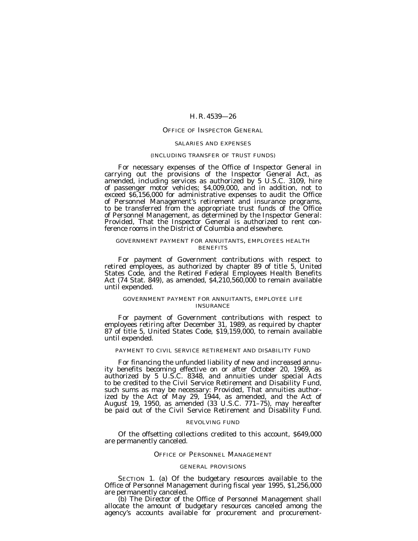## OFFICE OF INSPECTOR GENERAL

#### SALARIES AND EXPENSES

#### (INCLUDING TRANSFER OF TRUST FUNDS)

For necessary expenses of the Office of Inspector General in carrying out the provisions of the Inspector General Act, as amended, including services as authorized by 5 U.S.C. 3109, hire of passenger motor vehicles; \$4,009,000, and in addition, not to exceed \$6,156,000 for administrative expenses to audit the Office of Personnel Management's retirement and insurance programs, to be transferred from the appropriate trust funds of the Office of Personnel Management, as determined by the Inspector General: *Provided*, That the Inspector General is authorized to rent conference rooms in the District of Columbia and elsewhere.

## GOVERNMENT PAYMENT FOR ANNUITANTS, EMPLOYEES HEALTH **BENEFITS**

For payment of Government contributions with respect to retired employees, as authorized by chapter 89 of title 5, United States Code, and the Retired Federal Employees Health Benefits Act (74 Stat. 849), as amended, \$4,210,560,000 to remain available until expended.

## GOVERNMENT PAYMENT FOR ANNUITANTS, EMPLOYEE LIFE INSURANCE

For payment of Government contributions with respect to employees retiring after December 31, 1989, as required by chapter 87 of title 5, United States Code, \$19,159,000, to remain available until expended.

## PAYMENT TO CIVIL SERVICE RETIREMENT AND DISABILITY FUND

For financing the unfunded liability of new and increased annuity benefits becoming effective on or after October 20, 1969, as authorized by 5 U.S.C. 8348, and annuities under special Acts to be credited to the Civil Service Retirement and Disability Fund, such sums as may be necessary: *Provided,* That annuities authorized by the Act of May 29, 1944, as amended, and the Act of August 19, 1950, as amended (33 U.S.C. 771–75), may hereafter be paid out of the Civil Service Retirement and Disability Fund.

## REVOLVING FUND

Of the offsetting collections credited to this account, \$649,000 are permanently canceled.

#### OFFICE OF PERSONNEL MANAGEMENT

#### GENERAL PROVISIONS

SECTION 1. (a) Of the budgetary resources available to the Office of Personnel Management during fiscal year 1995, \$1,256,000 are permanently canceled.

(b) The Director of the Office of Personnel Management shall allocate the amount of budgetary resources canceled among the agency's accounts available for procurement and procurement-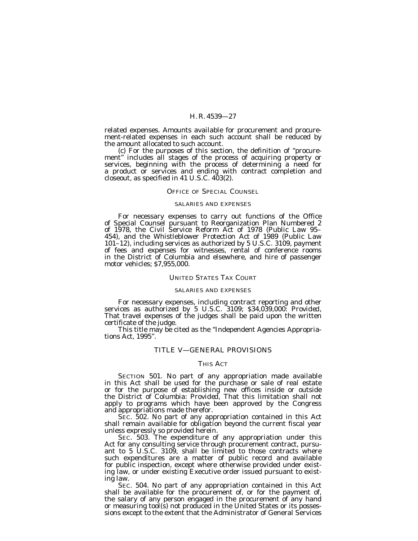related expenses. Amounts available for procurement and procurement-related expenses in each such account shall be reduced by the amount allocated to such account.

(c) For the purposes of this section, the definition of ''procurement" includes all stages of the process of acquiring property or services, beginning with the process of determining a need for a product or services and ending with contract completion and closeout, as specified in 41 U.S.C. 403(2).

## OFFICE OF SPECIAL COUNSEL

## SALARIES AND EXPENSES

For necessary expenses to carry out functions of the Office of Special Counsel pursuant to Reorganization Plan Numbered 2 of 1978, the Civil Service Reform Act of 1978 (Public Law 95– 454), and the Whistleblower Protection Act of 1989 (Public Law 101–12), including services as authorized by 5 U.S.C. 3109, payment of fees and expenses for witnesses, rental of conference rooms in the District of Columbia and elsewhere, and hire of passenger motor vehicles; \$7,955,000.

## UNITED STATES TAX COURT

#### SALARIES AND EXPENSES

For necessary expenses, including contract reporting and other services as authorized by 5 U.S.C. 3109; \$34,039,000: *Provided,* That travel expenses of the judges shall be paid upon the written certificate of the judge.

This title may be cited as the ''Independent Agencies Appropriations Act, 1995''.

## TITLE V—GENERAL PROVISIONS

## THIS ACT

SECTION 501. No part of any appropriation made available in this Act shall be used for the purchase or sale of real estate or for the purpose of establishing new offices inside or outside the District of Columbia: *Provided,* That this limitation shall not apply to programs which have been approved by the Congress and appropriations made therefor.

SEC. 502. No part of any appropriation contained in this Act shall remain available for obligation beyond the current fiscal year unless expressly so provided herein.

SEC. 503. The expenditure of any appropriation under this Act for any consulting service through procurement contract, pursuant to 5 U.S.C. 3109, shall be limited to those contracts where such expenditures are a matter of public record and available for public inspection, except where otherwise provided under existing law, or under existing Executive order issued pursuant to existing law.

SEC. 504. No part of any appropriation contained in this Act shall be available for the procurement of, or for the payment of, the salary of any person engaged in the procurement of any hand or measuring tool(s) not produced in the United States or its possessions except to the extent that the Administrator of General Services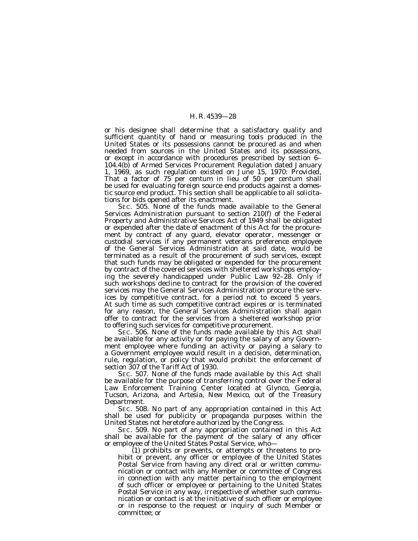or his designee shall determine that a satisfactory quality and sufficient quantity of hand or measuring tools produced in the United States or its possessions cannot be procured as and when needed from sources in the United States and its possessions, or except in accordance with procedures prescribed by section 6– 104.4(b) of Armed Services Procurement Regulation dated January 1, 1969, as such regulation existed on June 15, 1970: *Provided,* That a factor of 75 per centum in lieu of 50 per centum shall be used for evaluating foreign source end products against a domestic source end product. This section shall be applicable to all solicitations for bids opened after its enactment.

SEC. 505. None of the funds made available to the General Services Administration pursuant to section 210(f) of the Federal Property and Administrative Services Act of 1949 shall be obligated or expended after the date of enactment of this Act for the procurement by contract of any guard, elevator operator, messenger or custodial services if any permanent veterans preference employee of the General Services Administration at said date, would be terminated as a result of the procurement of such services, except that such funds may be obligated or expended for the procurement by contract of the covered services with sheltered workshops employing the severely handicapped under Public Law 92–28. Only if such workshops decline to contract for the provision of the covered services may the General Services Administration procure the services by competitive contract, for a period not to exceed 5 years. At such time as such competitive contract expires or is terminated for any reason, the General Services Administration shall again offer to contract for the services from a sheltered workshop prior to offering such services for competitive procurement.

SEC. 506. None of the funds made available by this Act shall be available for any activity or for paying the salary of any Government employee where funding an activity or paying a salary to a Government employee would result in a decision, determination, rule, regulation, or policy that would prohibit the enforcement of section 307 of the Tariff Act of 1930.

SEC. 507. None of the funds made available by this Act shall be available for the purpose of transferring control over the Federal Law Enforcement Training Center located at Glynco, Georgia, Tucson, Arizona, and Artesia, New Mexico, out of the Treasury Department.

SEC. 508. No part of any appropriation contained in this Act shall be used for publicity or propaganda purposes within the United States not heretofore authorized by the Congress.

SEC. 509. No part of any appropriation contained in this Act shall be available for the payment of the salary of any officer or employee of the United States Postal Service, who—

(1) prohibits or prevents, or attempts or threatens to prohibit or prevent, any officer or employee of the United States Postal Service from having any direct oral or written communication or contact with any Member or committee of Congress in connection with any matter pertaining to the employment of such officer or employee or pertaining to the United States Postal Service in any way, irrespective of whether such communication or contact is at the initiative of such officer or employee or in response to the request or inquiry of such Member or committee; or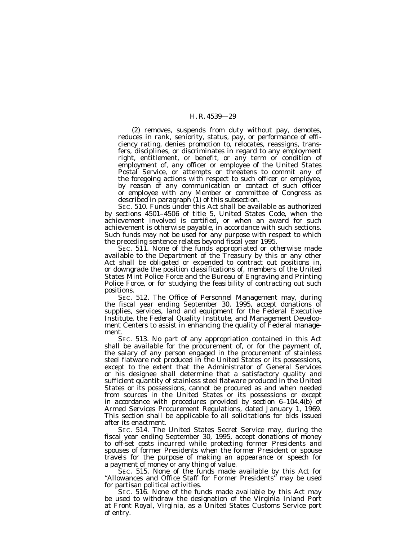(2) removes, suspends from duty without pay, demotes, reduces in rank, seniority, status, pay, or performance of efficiency rating, denies promotion to, relocates, reassigns, transfers, disciplines, or discriminates in regard to any employment right, entitlement, or benefit, or any term or condition of employment of, any officer or employee of the United States Postal Service, or attempts or threatens to commit any of the foregoing actions with respect to such officer or employee, by reason of any communication or contact of such officer or employee with any Member or committee of Congress as described in paragraph (1) of this subsection.

SEC. 510. Funds under this Act shall be available as authorized by sections 4501–4506 of title 5, United States Code, when the achievement involved is certified, or when an award for such achievement is otherwise payable, in accordance with such sections. Such funds may not be used for any purpose with respect to which the preceding sentence relates beyond fiscal year 1995.

SEC. 511. None of the funds appropriated or otherwise made available to the Department of the Treasury by this or any other Act shall be obligated or expended to contract out positions in, or downgrade the position classifications of, members of the United States Mint Police Force and the Bureau of Engraving and Printing Police Force, or for studying the feasibility of contracting out such positions.

SEC. 512. The Office of Personnel Management may, during the fiscal year ending September 30, 1995, accept donations of supplies, services, land and equipment for the Federal Executive Institute, the Federal Quality Institute, and Management Development Centers to assist in enhancing the quality of Federal management.

SEC. 513. No part of any appropriation contained in this Act shall be available for the procurement of, or for the payment of, the salary of any person engaged in the procurement of stainless steel flatware not produced in the United States or its possessions, except to the extent that the Administrator of General Services or his designee shall determine that a satisfactory quality and sufficient quantity of stainless steel flatware produced in the United States or its possessions, cannot be procured as and when needed from sources in the United States or its possessions or except in accordance with procedures provided by section 6–104.4(b) of Armed Services Procurement Regulations, dated January 1, 1969. This section shall be applicable to all solicitations for bids issued after its enactment.

SEC. 514. The United States Secret Service may, during the fiscal year ending September 30, 1995, accept donations of money to off-set costs incurred while protecting former Presidents and spouses of former Presidents when the former President or spouse travels for the purpose of making an appearance or speech for a payment of money or any thing of value.

SEC. 515. None of the funds made available by this Act for "Allowances and Office Staff for Former Presidents" may be used for partisan political activities.

SEC. 516. None of the funds made available by this Act may be used to withdraw the designation of the Virginia Inland Port at Front Royal, Virginia, as a United States Customs Service port of entry.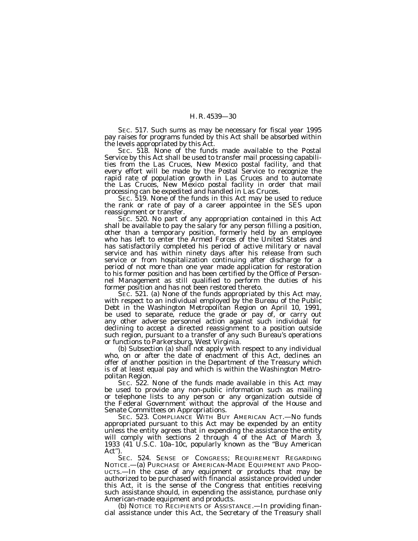SEC. 517. Such sums as may be necessary for fiscal year 1995 pay raises for programs funded by this Act shall be absorbed within the levels appropriated by this Act.

SEC. 518. None of the funds made available to the Postal Service by this Act shall be used to transfer mail processing capabilities from the Las Cruces, New Mexico postal facility, and that every effort will be made by the Postal Service to recognize the rapid rate of population growth in Las Cruces and to automate the Las Cruces, New Mexico postal facility in order that mail processing can be expedited and handled in Las Cruces.

SEC. 519. None of the funds in this Act may be used to reduce the rank or rate of pay of a career appointee in the SES upon reassignment or transfer.

SEC. 520. No part of any appropriation contained in this Act shall be available to pay the salary for any person filling a position, other than a temporary position, formerly held by an employee who has left to enter the Armed Forces of the United States and has satisfactorily completed his period of active military or naval service and has within ninety days after his release from such service or from hospitalization continuing after discharge for a period of not more than one year made application for restoration to his former position and has been certified by the Office of Personnel Management as still qualified to perform the duties of his former position and has not been restored thereto.

SEC. 521. (a) None of the funds appropriated by this Act may, with respect to an individual employed by the Bureau of the Public Debt in the Washington Metropolitan Region on April 10, 1991, be used to separate, reduce the grade or pay of, or carry out any other adverse personnel action against such individual for declining to accept a directed reassignment to a position outside such region, pursuant to a transfer of any such Bureau's operations or functions to Parkersburg, West Virginia. (b) Subsection (a) shall not apply with respect to any individual

who, on or after the date of enactment of this Act, declines an offer of another position in the Department of the Treasury which is of at least equal pay and which is within the Washington Metropolitan Region.

SEC. 522. None of the funds made available in this Act may be used to provide any non-public information such as mailing or telephone lists to any person or any organization outside of the Federal Government without the approval of the House and Senate Committees on Appropriations.

SEC. 523. COMPLIANCE WITH BUY AMERICAN ACT.-No funds appropriated pursuant to this Act may be expended by an entity unless the entity agrees that in expending the assistance the entity will comply with sections 2 through 4 of the Act of March 3, 1933 (41 U.S.C. 10a-10c, popularly known as the "Buy American Act'').

SEC. 524. SENSE OF CONGRESS; REQUIREMENT REGARDING NOTICE.—(a) PURCHASE OF AMERICAN-MADE EQUIPMENT AND PROD-UCTS.—In the case of any equipment or products that may be authorized to be purchased with financial assistance provided under this Act, it is the sense of the Congress that entities receiving such assistance should, in expending the assistance, purchase only American-made equipment and products.

(b) NOTICE TO RECIPIENTS OF ASSISTANCE.—In providing financial assistance under this Act, the Secretary of the Treasury shall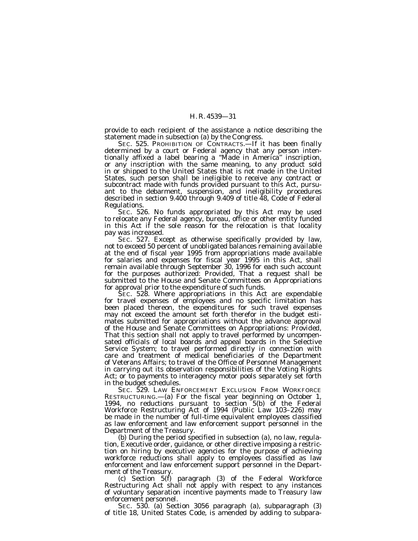provide to each recipient of the assistance a notice describing the statement made in subsection (a) by the Congress.

SEC. 525. PROHIBITION OF CONTRACTS.—If it has been finally determined by a court or Federal agency that any person intentionally affixed a label bearing a ''Made in America'' inscription, or any inscription with the same meaning, to any product sold in or shipped to the United States that is not made in the United States, such person shall be ineligible to receive any contract or subcontract made with funds provided pursuant to this Act, pursuant to the debarment, suspension, and ineligibility procedures described in section 9.400 through 9.409 of title 48, Code of Federal Regulations.

SEC. 526. No funds appropriated by this Act may be used to relocate any Federal agency, bureau, office or other entity funded in this Act if the sole reason for the relocation is that locality pay was increased.

SEC. 527. Except as otherwise specifically provided by law, not to exceed 50 percent of unobligated balances remaining available at the end of fiscal year 1995 from appropriations made available for salaries and expenses for fiscal year 1995 in this Act, shall remain available through September 30, 1996 for each such account for the purposes authorized: *Provided,* That a request shall be submitted to the House and Senate Committees on Appropriations for approval prior to the expenditure of such funds.

SEC. 528. Where appropriations in this Act are expendable for travel expenses of employees and no specific limitation has been placed thereon, the expenditures for such travel expenses may not exceed the amount set forth therefor in the budget estimates submitted for appropriations without the advance approval of the House and Senate Committees on Appropriations: *Provided,* That this section shall not apply to travel performed by uncompensated officials of local boards and appeal boards in the Selective Service System; to travel performed directly in connection with care and treatment of medical beneficiaries of the Department of Veterans Affairs; to travel of the Office of Personnel Management in carrying out its observation responsibilities of the Voting Rights Act; or to payments to interagency motor pools separately set forth in the budget schedules.

SEC. 529. LAW ENFORCEMENT EXCLUSION FROM WORKFORCE RESTRUCTURING.—(a) For the fiscal year beginning on October 1, 1994, no reductions pursuant to section 5(b) of the Federal Workforce Restructuring Act of 1994 (Public Law 103–226) may be made in the number of full-time equivalent employees classified as law enforcement and law enforcement support personnel in the Department of the Treasury.

(b) During the period specified in subsection (a), no law, regulation, Executive order, guidance, or other directive imposing a restriction on hiring by executive agencies for the purpose of achieving workforce reductions shall apply to employees classified as law enforcement and law enforcement support personnel in the Department of the Treasury.

(c) Section 5(f) paragraph (3) of the Federal Workforce Restructuring Act shall not apply with respect to any instances of voluntary separation incentive payments made to Treasury law enforcement personnel.

SEC. 530. (a) Section 3056 paragraph (a), subparagraph (3) of title 18, United States Code, is amended by adding to subpara-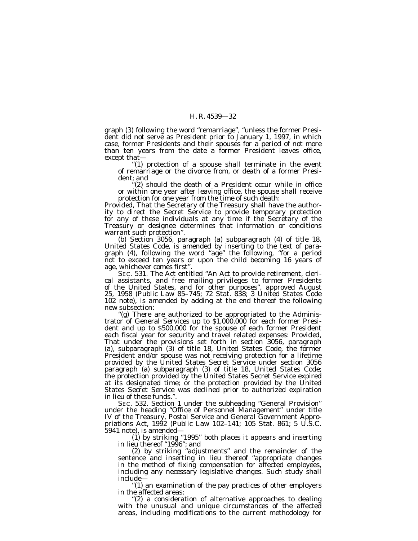graph (3) following the word ''remarriage'', ''unless the former President did not serve as President prior to January 1, 1997, in which case, former Presidents and their spouses for a period of not more than ten years from the date a former President leaves office, except that—

''(1) protection of a spouse shall terminate in the event of remarriage or the divorce from, or death of a former President; and

'(2) should the death of a President occur while in office or within one year after leaving office, the spouse shall receive protection for one year from the time of such death:

*Provided,* That the Secretary of the Treasury shall have the authority to direct the Secret Service to provide temporary protection for any of these individuals at any time if the Secretary of the Treasury or designee determines that information or conditions warrant such protection''.

(b) Section 3056, paragraph (a) subparagraph (4) of title 18, United States Code, is amended by inserting to the text of paragraph (4), following the word ''age'' the following, ''for a period not to exceed ten years or upon the child becoming 16 years of age, whichever comes first''.

SEC. 531. The Act entitled ''An Act to provide retirement, clerical assistants, and free mailing privileges to former Presidents of the United States, and for other purposes'', approved August 25, 1958 (Public Law 85–745; 72 Stat. 838; 3 United States Code 102 note), is amended by adding at the end thereof the following new subsection:

''(g) There are authorized to be appropriated to the Administrator of General Services up to \$1,000,000 for each former President and up to \$500,000 for the spouse of each former President each fiscal year for security and travel related expenses: *Provided,* That under the provisions set forth in section 3056, paragraph (a), subparagraph (3) of title 18, United States Code, the former President and/or spouse was not receiving protection for a lifetime provided by the United States Secret Service under section 3056 paragraph (a) subparagraph (3) of title 18, United States Code; the protection provided by the United States Secret Service expired at its designated time; or the protection provided by the United States Secret Service was declined prior to authorized expiration in lieu of these funds.''.

SEC. 532. Section 1 under the subheading ''General Provision'' under the heading ''Office of Personnel Management'' under title IV of the Treasury, Postal Service and General Government Appropriations Act, 1992 (Public Law 102–141; 105 Stat. 861; 5 U.S.C. 5941 note), is amended—

(1) by striking ''1995'' both places it appears and inserting in lieu thereof ''1996''; and

(2) by striking ''adjustments'' and the remainder of the sentence and inserting in lieu thereof "appropriate changes in the method of fixing compensation for affected employees, including any necessary legislative changes. Such study shall include—

''(1) an examination of the pay practices of other employers in the affected areas;

"(2) a consideration of alternative approaches to dealing with the unusual and unique circumstances of the affected areas, including modifications to the current methodology for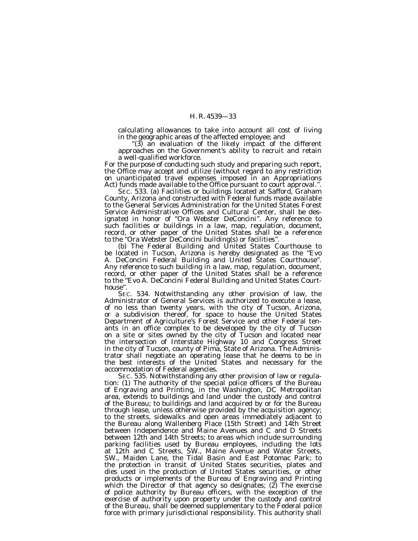calculating allowances to take into account all cost of living in the geographic areas of the affected employee; and

''(3) an evaluation of the likely impact of the different approaches on the Government's ability to recruit and retain a well-qualified workforce.

For the purpose of conducting such study and preparing such report, the Office may accept and utilize (without regard to any restriction on unanticipated travel expenses imposed in an Appropriations Act) funds made available to the Office pursuant to court approval.''.

SEC. 533. (a) Facilities or buildings located at Safford, Graham County, Arizona and constructed with Federal funds made available to the General Services Administration for the United States Forest Service Administrative Offices and Cultural Center, shall be designated in honor of ''Ora Webster DeConcini''. Any reference to such facilities or buildings in a law, map, regulation, document, record, or other paper of the United States shall be a reference to the ''Ora Webster DeConcini building(s) or facilities''.

(b) The Federal Building and United States Courthouse to be located in Tucson, Arizona is hereby designated as the ''Evo A. DeConcini Federal Building and United States Courthouse''. Any reference to such building in a law, map, regulation, document, record, or other paper of the United States shall be a reference to the ''Evo A. DeConcini Federal Building and United States Courthouse''.

SEC. 534. Notwithstanding any other provision of law, the Administrator of General Services is authorized to execute a lease, of no less than twenty years, with the city of Tucson, Arizona, or a subdivision thereof, for space to house the United States Department of Agriculture's Forest Service and other Federal tenants in an office complex to be developed by the city of Tucson on a site or sites owned by the city of Tucson and located near the intersection of Interstate Highway 10 and Congress Street in the city of Tucson, county of Pima, State of Arizona. The Administrator shall negotiate an operating lease that he deems to be in the best interests of the United States and necessary for the

accommodation of Federal agencies. tion: (1) The authority of the special police officers of the Bureau of Engraving and Printing, in the Washington, DC Metropolitan area, extends to buildings and land under the custody and control of the Bureau; to buildings and land acquired by or for the Bureau through lease, unless otherwise provided by the acquisition agency; to the streets, sidewalks and open areas immediately adjacent to the Bureau along Wallenberg Place (15th Street) and 14th Street between Independence and Maine Avenues and C and D Streets between 12th and 14th Streets; to areas which include surrounding parking facilities used by Bureau employees, including the lots at 12th and C Streets, SW., Maine Avenue and Water Streets, SW., Maiden Lane, the Tidal Basin and East Potomac Park; to the protection in transit of United States securities, plates and dies used in the production of United States securities, or other products or implements of the Bureau of Engraving and Printing which the Director of that agency so designates; (2) The exercise of police authority by Bureau officers, with the exception of the exercise of authority upon property under the custody and control of the Bureau, shall be deemed supplementary to the Federal police force with primary jurisdictional responsibility. This authority shall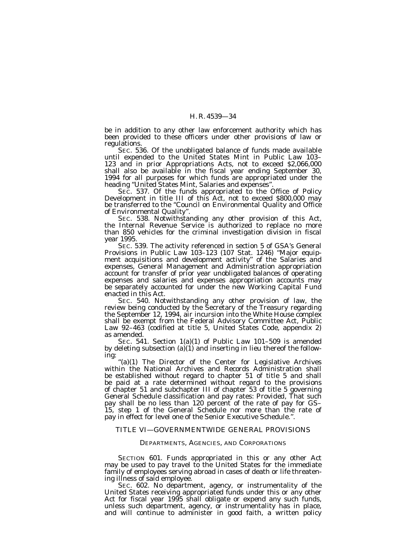be in addition to any other law enforcement authority which has been provided to these officers under other provisions of law or regulations.<br>SEC. 536. Of the unobligated balance of funds made available

until expended to the United States Mint in Public Law 103– 123 and in prior Appropriations Acts, not to exceed \$2,066,000 shall also be available in the fiscal year ending September 30, 1994 for all purposes for which funds are appropriated under the heading ''United States Mint, Salaries and expenses''.

SEC. 537. Of the funds appropriated to the Office of Policy Development in title III of this Act, not to exceed \$800,000 may be transferred to the ''Council on Environmental Quality and Office of Environmental Quality''.

SEC. 538. Notwithstanding any other provision of this Act, the Internal Revenue Service is authorized to replace no more than 850 vehicles for the criminal investigation division in fiscal year 1995.

SEC. 539. The activity referenced in section 5 of GSA's General Provisions in Public Law 103–123 (107 Stat. 1246) ''Major equipment acquisitions and development activity'' of the Salaries and expenses, General Management and Administration appropriation account for transfer of prior year unobligated balances of operating expenses and salaries and expenses appropriation accounts may be separately accounted for under the new Working Capital Fund enacted in this Act.

SEC. 540. Notwithstanding any other provision of law, the review being conducted by the Secretary of the Treasury regarding the September 12, 1994, air incursion into the White House complex shall be exempt from the Federal Advisory Committee Act, Public Law 92–463 (codified at title 5, United States Code, appendix 2) as amended.

SEC. 541. Section 1(a)(1) of Public Law 101–509 is amended by deleting subsection (a)(1) and inserting in lieu thereof the following:

''(a)(1) The Director of the Center for Legislative Archives within the National Archives and Records Administration shall be established without regard to chapter 51 of title 5 and shall be paid at a rate determined without regard to the provisions of chapter 51 and subchapter III of chapter 53 of title 5 governing General Schedule classification and pay rates: *Provided,* That such pay shall be no less than 120 percent of the rate of pay for GS– 15, step 1 of the General Schedule nor more than the rate of pay in effect for level one of the Senior Executive Schedule.''.

## TITLE VI—GOVERNMENTWIDE GENERAL PROVISIONS

#### DEPARTMENTS, AGENCIES, AND CORPORATIONS

SECTION 601. Funds appropriated in this or any other Act may be used to pay travel to the United States for the immediate family of employees serving abroad in cases of death or life threatening illness of said employee.

SEC. 602. No department, agency, or instrumentality of the United States receiving appropriated funds under this or any other Act for fiscal year 1995 shall obligate or expend any such funds, unless such department, agency, or instrumentality has in place, and will continue to administer in good faith, a written policy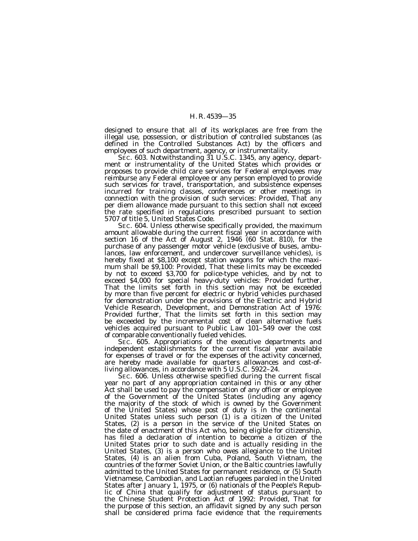designed to ensure that all of its workplaces are free from the illegal use, possession, or distribution of controlled substances (as defined in the Controlled Substances Act) by the officers and employees of such department, agency, or instrumentality.

SEC. 603. Notwithstanding 31 U.S.C. 1345, any agency, department or instrumentality of the United States which provides or proposes to provide child care services for Federal employees may reimburse any Federal employee or any person employed to provide such services for travel, transportation, and subsistence expenses incurred for training classes, conferences or other meetings in connection with the provision of such services: *Provided,* That any per diem allowance made pursuant to this section shall not exceed the rate specified in regulations prescribed pursuant to section 5707 of title 5, United States Code.

SEC. 604. Unless otherwise specifically provided, the maximum amount allowable during the current fiscal year in accordance with section 16 of the Act of August 2, 1946 (60 Stat. 810), for the purchase of any passenger motor vehicle (exclusive of buses, ambulances, law enforcement, and undercover surveillance vehicles), is hereby fixed at \$8,100 except station wagons for which the maximum shall be \$9,100: *Provided,* That these limits may be exceeded by not to exceed \$3,700 for police-type vehicles, and by not to exceed \$4,000 for special heavy-duty vehicles: *Provided further,* That the limits set forth in this section may not be exceeded by more than five percent for electric or hybrid vehicles purchased for demonstration under the provisions of the Electric and Hybrid Vehicle Research, Development, and Demonstration Act of 1976: *Provided further,* That the limits set forth in this section may be exceeded by the incremental cost of clean alternative fuels vehicles acquired pursuant to Public Law 101–549 over the cost of comparable conventionally fueled vehicles.

SEC. 605. Appropriations of the executive departments and independent establishments for the current fiscal year available for expenses of travel or for the expenses of the activity concerned, are hereby made available for quarters allowances and cost-ofliving allowances, in accordance with 5 U.S.C. 5922–24.

SEC. 606. Unless otherwise specified during the current fiscal year no part of any appropriation contained in this or any other Act shall be used to pay the compensation of any officer or employee of the Government of the United States (including any agency the majority of the stock of which is owned by the Government of the United States) whose post of duty is in the continental United States unless such person (1) is a citizen of the United States, (2) is a person in the service of the United States on the date of enactment of this Act who, being eligible for citizenship, has filed a declaration of intention to become a citizen of the United States prior to such date and is actually residing in the United States, (3) is a person who owes allegiance to the United States, (4) is an alien from Cuba, Poland, South Vietnam, the countries of the former Soviet Union, or the Baltic countries lawfully admitted to the United States for permanent residence, or (5) South Vietnamese, Cambodian, and Laotian refugees paroled in the United States after January 1, 1975, or (6) nationals of the People's Republic of China that qualify for adjustment of status pursuant to the Chinese Student Protection Act of 1992: *Provided,* That for the purpose of this section, an affidavit signed by any such person shall be considered prima facie evidence that the requirements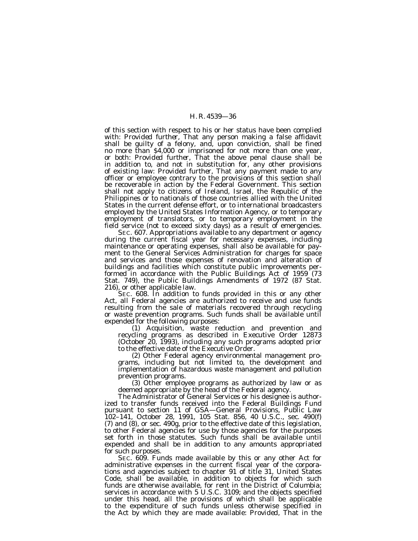of this section with respect to his or her status have been complied with: *Provided further,* That any person making a false affidavit shall be guilty of a felony, and, upon conviction, shall be fined no more than \$4,000 or imprisoned for not more than one year, or both: *Provided further,* That the above penal clause shall be in addition to, and not in substitution for, any other provisions of existing law: *Provided further,* That any payment made to any officer or employee contrary to the provisions of this section shall be recoverable in action by the Federal Government. This section shall not apply to citizens of Ireland, Israel, the Republic of the Philippines or to nationals of those countries allied with the United States in the current defense effort, or to international broadcasters employed by the United States Information Agency, or to temporary employment of translators, or to temporary employment in the field service (not to exceed sixty days) as a result of emergencies.

SEC. 607. Appropriations available to any department or agency during the current fiscal year for necessary expenses, including maintenance or operating expenses, shall also be available for payment to the General Services Administration for charges for space and services and those expenses of renovation and alteration of buildings and facilities which constitute public improvements performed in accordance with the Public Buildings Act of 1959 (73 Stat. 749), the Public Buildings Amendments of 1972 (87 Stat. 216), or other applicable law.

SEC. 608. In addition to funds provided in this or any other Act, all Federal agencies are authorized to receive and use funds resulting from the sale of materials recovered through recycling or waste prevention programs. Such funds shall be available until expended for the following purposes:

expended for the following purposes: (1) Acquisition, waste reduction and prevention and recycling programs as described in Executive Order 12873 (October 20, 1993), including any such programs adopted prior to the effective date of the Executive Order.

(2) Other Federal agency environmental management programs, including but not limited to, the development and implementation of hazardous waste management and pollution

prevention programs. (3) Other employee programs as authorized by law or as deemed appropriate by the head of the Federal agency.

The Administrator of General Services or his designee is authorized to transfer funds received into the Federal Buildings Fund pursuant to section 11 of GSA—General Provisions, Public Law 102–141, October 28, 1991, 105 Stat. 856, 40 U.S.C., sec. 490(f) (7) and (8), or sec. 490g, prior to the effective date of this legislation, to other Federal agencies for use by those agencies for the purposes set forth in those statutes. Such funds shall be available until expended and shall be in addition to any amounts appropriated for such purposes.

SEC. 609. Funds made available by this or any other Act for administrative expenses in the current fiscal year of the corporations and agencies subject to chapter 91 of title 31, United States Code, shall be available, in addition to objects for which such funds are otherwise available, for rent in the District of Columbia; services in accordance with 5 U.S.C. 3109; and the objects specified under this head, all the provisions of which shall be applicable to the expenditure of such funds unless otherwise specified in the Act by which they are made available: *Provided,* That in the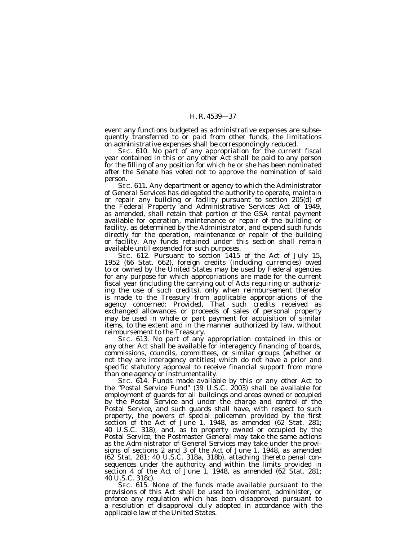event any functions budgeted as administrative expenses are subsequently transferred to or paid from other funds, the limitations on administrative expenses shall be correspondingly reduced.

SEC. 610. No part of any appropriation for the current fiscal year contained in this or any other Act shall be paid to any person for the filling of any position for which he or she has been nominated after the Senate has voted not to approve the nomination of said person.

SEC. 611. Any department or agency to which the Administrator of General Services has delegated the authority to operate, maintain or repair any building or facility pursuant to section 205(d) of the Federal Property and Administrative Services Act of 1949, as amended, shall retain that portion of the GSA rental payment available for operation, maintenance or repair of the building or facility, as determined by the Administrator, and expend such funds directly for the operation, maintenance or repair of the building or facility. Any funds retained under this section shall remain available until expended for such purposes.

SEC. 612. Pursuant to section 1415 of the Act of July 15, 1952 (66 Stat. 662), foreign credits (including currencies) owed to or owned by the United States may be used by Federal agencies for any purpose for which appropriations are made for the current fiscal year (including the carrying out of Acts requiring or authorizing the use of such credits), only when reimbursement therefor is made to the Treasury from applicable appropriations of the agency concerned: *Provided,* That such credits received as exchanged allowances or proceeds of sales of personal property may be used in whole or part payment for acquisition of similar items, to the extent and in the manner authorized by law, without reimbursement to the Treasury.

SEC. 613. No part of any appropriation contained in this or any other Act shall be available for interagency financing of boards, commissions, councils, committees, or similar groups (whether or not they are interagency entities) which do not have a prior and specific statutory approval to receive financial support from more than one agency or instrumentality.

SEC. 614. Funds made available by this or any other Act to the ''Postal Service Fund'' (39 U.S.C. 2003) shall be available for employment of guards for all buildings and areas owned or occupied by the Postal Service and under the charge and control of the Postal Service, and such guards shall have, with respect to such property, the powers of special policemen provided by the first section of the Act of June 1, 1948, as amended (62 Stat. 281; 40 U.S.C. 318), and, as to property owned or occupied by the Postal Service, the Postmaster General may take the same actions as the Administrator of General Services may take under the provisions of sections 2 and 3 of the Act of June 1, 1948, as amended (62 Stat. 281; 40 U.S.C. 318a, 318b), attaching thereto penal consequences under the authority and within the limits provided in section 4 of the Act of June 1, 1948, as amended (62 Stat. 281; 40 U.S.C. 318c).

SEC. 615. None of the funds made available pursuant to the provisions of this Act shall be used to implement, administer, or enforce any regulation which has been disapproved pursuant to a resolution of disapproval duly adopted in accordance with the applicable law of the United States.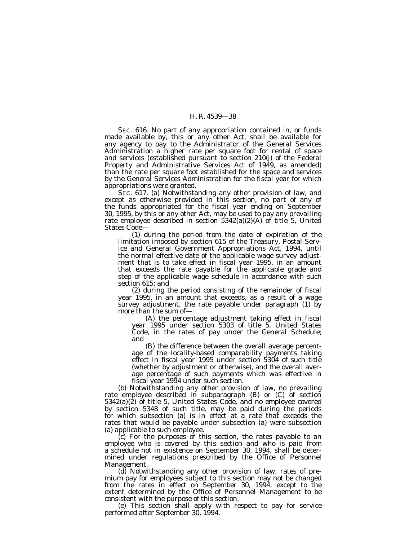SEC. 616. No part of any appropriation contained in, or funds made available by, this or any other Act, shall be available for any agency to pay to the Administrator of the General Services Administration a higher rate per square foot for rental of space and services (established pursuant to section 210(j) of the Federal Property and Administrative Services Act of 1949, as amended) than the rate per square foot established for the space and services by the General Services Administration for the fiscal year for which appropriations were granted.

SEC. 617. (a) Notwithstanding any other provision of law, and except as otherwise provided in this section, no part of any of the funds appropriated for the fiscal year ending on September 30, 1995, by this or any other Act, may be used to pay any prevailing rate employee described in section  $5342(a)(2)(A)$  of title 5, United States Code—

(1) during the period from the date of expiration of the limitation imposed by section 615 of the Treasury, Postal Service and General Government Appropriations Act, 1994, until the normal effective date of the applicable wage survey adjustment that is to take effect in fiscal year 1995, in an amount that exceeds the rate payable for the applicable grade and step of the applicable wage schedule in accordance with such section 615; and

(2) during the period consisting of the remainder of fiscal year 1995, in an amount that exceeds, as a result of a wage survey adjustment, the rate payable under paragraph (1) by more than the sum of—

(A) the percentage adjustment taking effect in fiscal year 1995 under section 5303 of title 5, United States Code, in the rates of pay under the General Schedule; and

(B) the difference between the overall average percentage of the locality-based comparability payments taking effect in fiscal year 1995 under section 5304 of such title (whether by adjustment or otherwise), and the overall average percentage of such payments which was effective in fiscal year 1994 under such section.

(b) Notwithstanding any other provision of law, no prevailing rate employee described in subparagraph (B) or (C) of section  $5342(a)(\overline{2})$  of title 5, United States Code, and no employee covered by section 5348 of such title, may be paid during the periods for which subsection (a) is in effect at a rate that exceeds the rates that would be payable under subsection (a) were subsection (a) applicable to such employee.

(c) For the purposes of this section, the rates payable to an employee who is covered by this section and who is paid from a schedule not in existence on September 30, 1994, shall be determined under regulations prescribed by the Office of Personnel Management.

(d) Notwithstanding any other provision of law, rates of premium pay for employees subject to this section may not be changed from the rates in effect on September 30, 1994, except to the extent determined by the Office of Personnel Management to be consistent with the purpose of this section.

(e) This section shall apply with respect to pay for service performed after September 30, 1994.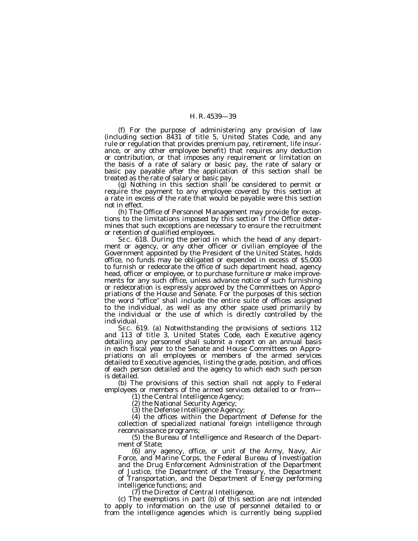(f) For the purpose of administering any provision of law (including section 8431 of title 5, United States Code, and any rule or regulation that provides premium pay, retirement, life insurance, or any other employee benefit) that requires any deduction or contribution, or that imposes any requirement or limitation on the basis of a rate of salary or basic pay, the rate of salary or basic pay payable after the application of this section shall be treated as the rate of salary or basic pay.

(g) Nothing in this section shall be considered to permit or require the payment to any employee covered by this section at a rate in excess of the rate that would be payable were this section not in effect.

(h) The Office of Personnel Management may provide for exceptions to the limitations imposed by this section if the Office determines that such exceptions are necessary to ensure the recruitment or retention of qualified employees.

SEC. 618. During the period in which the head of any department or agency, or any other officer or civilian employee of the Government appointed by the President of the United States, holds office, no funds may be obligated or expended in excess of \$5,000 to furnish or redecorate the office of such department head, agency head, officer or employee, or to purchase furniture or make improvements for any such office, unless advance notice of such furnishing or redecoration is expressly approved by the Committees on Appropriations of the House and Senate. For the purposes of this section the word ''office'' shall include the entire suite of offices assigned to the individual, as well as any other space used primarily by the individual or the use of which is directly controlled by the individual.

SEC. 619. (a) Notwithstanding the provisions of sections 112 and 113 of title 3, United States Code, each Executive agency detailing any personnel shall submit a report on an annual basis in each fiscal year to the Senate and House Committees on Appropriations on all employees or members of the armed services detailed to Executive agencies, listing the grade, position, and offices of each person detailed and the agency to which each such person is detailed.

(b) The provisions of this section shall not apply to Federal employees or members of the armed services detailed to or from—<br>(1) the Central Intelligence Agency;

(2) the National Security Agency;

(3) the Defense Intelligence Agency;

(4) the offices within the Department of Defense for the collection of specialized national foreign intelligence through reconnaissance programs;

(5) the Bureau of Intelligence and Research of the Department of State;

(6) any agency, office, or unit of the Army, Navy, Air Force, and Marine Corps, the Federal Bureau of Investigation and the Drug Enforcement Administration of the Department of Justice, the Department of the Treasury, the Department of Transportation, and the Department of Energy performing intelligence functions; and

(7) the Director of Central Intelligence.

(c) The exemptions in part (b) of this section are not intended to apply to information on the use of personnel detailed to or from the intelligence agencies which is currently being supplied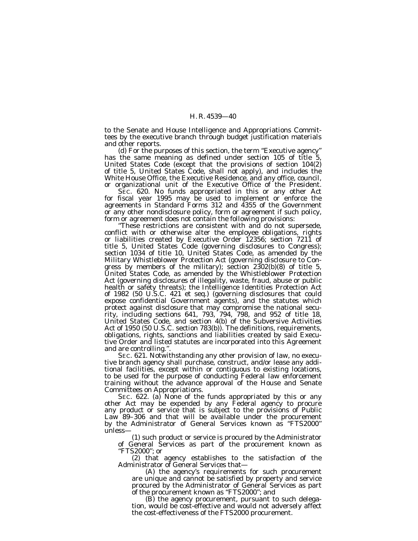to the Senate and House Intelligence and Appropriations Committees by the executive branch through budget justification materials and other reports.

(d) For the purposes of this section, the term ''Executive agency'' has the same meaning as defined under section 105 of title 5, United States Code (except that the provisions of section 104(2) of title 5, United States Code, shall not apply), and includes the White House Office, the Executive Residence, and any office, council, or organizational unit of the Executive Office of the President.

SEC. 620. No funds appropriated in this or any other Act for fiscal year 1995 may be used to implement or enforce the agreements in Standard Forms 312 and 4355 of the Government or any other nondisclosure policy, form or agreement if such policy, form or agreement does not contain the following provisions:

"These restrictions are consistent with and do not supersede, conflict with or otherwise alter the employee obligations, rights or liabilities created by Executive Order 12356; section 7211 of title 5, United States Code (governing disclosures to Congress); section 1034 of title 10, United States Code, as amended by the Military Whistleblower Protection Act (governing disclosure to Congress by members of the military); section 2302(b)(8) of title 5, United States Code, as amended by the Whistleblower Protection Act (governing disclosures of illegality, waste, fraud, abuse or public health or safety threats); the Intelligence Identities Protection Act of 1982 (50 U.S.C. 421 et seq.) (governing disclosures that could expose confidential Government agents), and the statutes which protect against disclosure that may compromise the national security, including sections 641, 793, 794, 798, and 952 of title 18, United States Code, and section 4(b) of the Subversive Activities Act of 1950 (50 U.S.C. section 783(b)). The definitions, requirements, obligations, rights, sanctions and liabilities created by said Executive Order and listed statutes are incorporated into this Agreement and are controlling.''.

SEC. 621. Notwithstanding any other provision of law, no executive branch agency shall purchase, construct, and/or lease any additional facilities, except within or contiguous to existing locations, to be used for the purpose of conducting Federal law enforcement training without the advance approval of the House and Senate Committees on Appropriations.

SEC. 622. (a) None of the funds appropriated by this or any other Act may be expended by any Federal agency to procure any product or service that is subject to the provisions of Public Law 89-306 and that will be available under the procurement by the Administrator of General Services known as ''FTS2000'' unless—

(1) such product or service is procured by the Administrator of General Services as part of the procurement known as ''FTS2000''; or

(2) that agency establishes to the satisfaction of the Administrator of General Services that—

(A) the agency's requirements for such procurement are unique and cannot be satisfied by property and service procured by the Administrator of General Services as part of the procurement known as ''FTS2000''; and

(B) the agency procurement, pursuant to such delegation, would be cost-effective and would not adversely affect the cost-effectiveness of the FTS2000 procurement.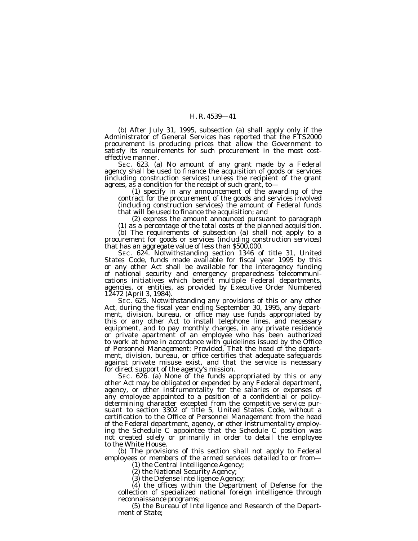(b) After July 31, 1995, subsection (a) shall apply only if the Administrator of General Services has reported that the FTS2000 procurement is producing prices that allow the Government to satisfy its requirements for such procurement in the most costeffective manner.

SEC. 623. (a) No amount of any grant made by a Federal agency shall be used to finance the acquisition of goods or services (including construction services) unless the recipient of the grant agrees, as a condition for the receipt of such grant, to—

(1) specify in any announcement of the awarding of the contract for the procurement of the goods and services involved (including construction services) the amount of Federal funds that will be used to finance the acquisition; and

(2) express the amount announced pursuant to paragraph

(1) as a percentage of the total costs of the planned acquisition.

(b) The requirements of subsection (a) shall not apply to a procurement for goods or services (including construction services) that has an aggregate value of less than \$500,000.

SEC. 624. Notwithstanding section 1346 of title 31, United States Code, funds made available for fiscal year 1995 by this or any other Act shall be available for the interagency funding of national security and emergency preparedness telecommunications initiatives which benefit multiple Federal departments, agencies, or entities, as provided by Executive Order Numbered 12472 (April 3, 1984).

SEC. 625. Notwithstanding any provisions of this or any other Act, during the fiscal year ending September 30, 1995, any department, division, bureau, or office may use funds appropriated by this or any other Act to install telephone lines, and necessary equipment, and to pay monthly charges, in any private residence or private apartment of an employee who has been authorized to work at home in accordance with guidelines issued by the Office of Personnel Management: *Provided,* That the head of the department, division, bureau, or office certifies that adequate safeguards against private misuse exist, and that the service is necessary for direct support of the agency's mission.

SEC. 626. (a) None of the funds appropriated by this or any other Act may be obligated or expended by any Federal department, agency, or other instrumentality for the salaries or expenses of any employee appointed to a position of a confidential or policydetermining character excepted from the competitive service pursuant to section 3302 of title 5, United States Code, without a certification to the Office of Personnel Management from the head of the Federal department, agency, or other instrumentality employing the Schedule C appointee that the Schedule C position was not created solely or primarily in order to detail the employee to the White House.

(b) The provisions of this section shall not apply to Federal employees or members of the armed services detailed to or from-

(1) the Central Intelligence Agency;

(2) the National Security Agency;

(3) the Defense Intelligence Agency;

(4) the offices within the Department of Defense for the collection of specialized national foreign intelligence through reconnaissance programs;

(5) the Bureau of Intelligence and Research of the Department of State;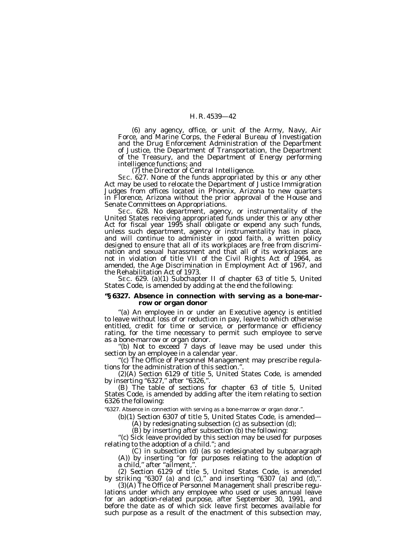(6) any agency, office, or unit of the Army, Navy, Air Force, and Marine Corps, the Federal Bureau of Investigation and the Drug Enforcement Administration of the Department of Justice, the Department of Transportation, the Department of the Treasury, and the Department of Energy performing<br>intelligence functions; and

 $(7)$  the Director of Central Intelligence.<br>SEC. 627. None of the funds appropriated by this or any other Act may be used to relocate the Department of Justice Immigration Judges from offices located in Phoenix, Arizona to new quarters in Florence, Arizona without the prior approval of the House and Senate Committees on Appropriations.<br>SEC. 628. No department, agency, or instrumentality of the

United States receiving appropriated funds under this or any other Act for fiscal year 1995 shall obligate or expend any such funds, unless such department, agency or instrumentality has in place, and will continue to administer in good faith, a written policy designed to ensure that all of its workplaces are free from discrimination and sexual harassment and that all of its workplaces are not in violation of title VII of the Civil Rights Act of 1964, as amended, the Age Discrimination in Employment Act of 1967, and the Rehabilitation Act of 1973.

SEC. 629. (a)(1) Subchapter II of chapter 63 of title 5, United States Code, is amended by adding at the end the following:

## **''§ 6327. Absence in connection with serving as a bone-marrow or organ donor**

"(a) An employee in or under an Executive agency is entitled to leave without loss of or reduction in pay, leave to which otherwise entitled, credit for time or service, or performance or efficiency rating, for the time necessary to permit such employee to serve as a bone-marrow or organ donor.

''(b) Not to exceed 7 days of leave may be used under this section by an employee in a calendar year.

''(c) The Office of Personnel Management may prescribe regulations for the administration of this section.'

(2)(A) Section 6129 of title 5, United States Code, is amended by inserting "6327," after "6326,"

(B) The table of sections for chapter 63 of title 5, United States Code, is amended by adding after the item relating to section 6326 the following:

"6327. Absence in connection with serving as a bone-marrow or organ donor.".

(b)(1) Section 6307 of title 5, United States Code, is amended—

(A) by redesignating subsection (c) as subsection (d);

(B) by inserting after subsection (b) the following:<br>"(c) Sick leave provided by this section may be used for purposes<br>relating to the adoption of a child."; and

relating to the adoption of a child."; and<br>(C) in subsection (d) (as so redesignated by subparagraph<br>(A)) by inserting "or for purposes relating to the adoption of a child,'' after ''ailment,''.

(2) Section 6129 of title 5, United States Code, is amended by striking "6307 (a) and (c)," and inserting "6307 (a) and (d),".<br>(3)(A) The Office of Personnel Management shall prescribe regu-

lations under which any employee who used or uses annual leave for an adoption-related purpose, after September 30, 1991, and before the date as of which sick leave first becomes available for such purpose as a result of the enactment of this subsection may,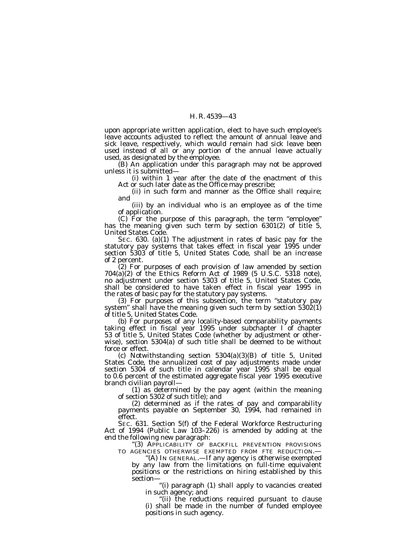upon appropriate written application, elect to have such employee's leave accounts adjusted to reflect the amount of annual leave and sick leave, respectively, which would remain had sick leave been used instead of all or any portion of the annual leave actually used, as designated by the employee.

(B) An application under this paragraph may not be approved unless it is submitted—

(i) within 1 year after the date of the enactment of this Act or such later date as the Office may prescribe;

(ii) in such form and manner as the Office shall require; and

(iii) by an individual who is an employee as of the time of application.

(C) For the purpose of this paragraph, the term ''employee'' has the meaning given such term by section 6301(2) of title 5, United States Code.

SEC. 630. (a)(1) The adjustment in rates of basic pay for the statutory pay systems that takes effect in fiscal year 1995 under section 5303 of title 5, United States Code, shall be an increase of 2 percent.

(2) For purposes of each provision of law amended by section 704(a)(2) of the Ethics Reform Act of 1989 (5 U.S.C. 5318 note), no adjustment under section 5303 of title 5, United States Code, shall be considered to have taken effect in fiscal year 1995 in the rates of basic pay for the statutory pay systems.

(3) For purposes of this subsection, the term ''statutory pay system" shall have the meaning given such term by section  $5302(1)$ of title 5, United States Code.

(b) For purposes of any locality-based comparability payments taking effect in fiscal year 1995 under subchapter I of chapter 53 of title 5, United States Code (whether by adjustment or otherwise), section 5304(a) of such title shall be deemed to be without force or effect.

(c) Notwithstanding section 5304(a)(3)(B) of title 5, United States Code, the annualized cost of pay adjustments made under section 5304 of such title in calendar year 1995 shall be equal to 0.6 percent of the estimated aggregate fiscal year 1995 executive

(1) as determined by the pay agent (within the meaning of section 5302 of such title); and

(2) determined as if the rates of pay and comparability payments payable on September 30, 1994, had remained in effect.<br>SEC. 631. Section 5(f) of the Federal Workforce Restructuring

Act of 1994 (Public Law 103–226) is amended by adding at the end the following new paragraph:

''(3) APPLICABILITY OF BACKFILL PREVENTION PROVISIONS TO AGENCIES OTHERWISE EXEMPTED FROM FTE REDUCTION.—

''(A) IN GENERAL.—If any agency is otherwise exempted by any law from the limitations on full-time equivalent positions or the restrictions on hiring established by this section—

''(i) paragraph (1) shall apply to vacancies created in such agency; and

''(ii) the reductions required pursuant to clause (i) shall be made in the number of funded employee positions in such agency.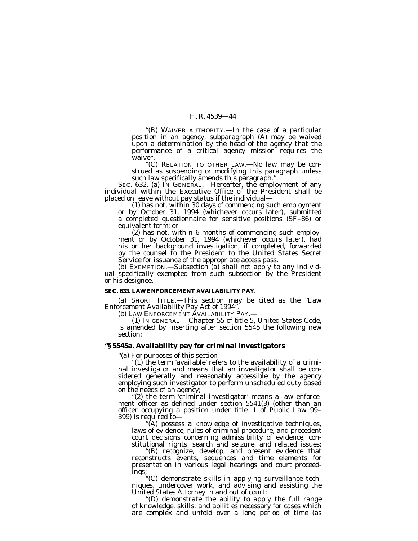''(B) WAIVER AUTHORITY.—In the case of a particular position in an agency, subparagraph (A) may be waived upon a determination by the head of the agency that the performance of a critical agency mission requires the waiver.

''(C) RELATION TO OTHER LAW.—No law may be construed as suspending or modifying this paragraph unless such law specifically amends this paragraph.''.

SEC. 632. (a) IN GENERAL.—Hereafter, the employment of any individual within the Executive Office of the President shall be placed on leave without pay status if the individual—

(1) has not, within 30 days of commencing such employment or by October 31, 1994 (whichever occurs later), submitted a completed questionnaire for sensitive positions (SF–86) or equivalent form; or

(2) has not, within 6 months of commencing such employment or by October 31, 1994 (whichever occurs later), had his or her background investigation, if completed, forwarded by the counsel to the President to the United States Secret Service for issuance of the appropriate access pass.

(b) EXEMPTION.—Subsection (a) shall not apply to any individual specifically exempted from such subsection by the President or his designee.

## **SEC. 633. LAW ENFORCEMENT AVAILABILITY PAY.**

(a) SHORT TITLE.—This section may be cited as the ''Law Enforcement Availability Pay Act of 1994''.

(b) LAW ENFORCEMENT AVAILABILITY PAY.-

(1) IN GENERAL.—Chapter 55 of title 5, United States Code, is amended by inserting after section 5545 the following new section:

## **''§ 5545a. Availability pay for criminal investigators**

''(a) For purposes of this section—

"(1) the term 'available' refers to the availability of a criminal investigator and means that an investigator shall be considered generally and reasonably accessible by the agency employing such investigator to perform unscheduled duty based<br>on the needs of an agency;

"(2) the term 'criminal investigator' means a law enforce- ment officer as defined under section  $5541(3)$  (other than an officer occupying a position under title II of Public Law 99– 399) is required to—

''(A) possess a knowledge of investigative techniques, laws of evidence, rules of criminal procedure, and precedent court decisions concerning admissibility of evidence, constitutional rights, search and seizure, and related issues;

''(B) recognize, develop, and present evidence that reconstructs events, sequences and time elements for presentation in various legal hearings and court proceedings;

''(C) demonstrate skills in applying surveillance techniques, undercover work, and advising and assisting the United States Attorney in and out of court;

''(D) demonstrate the ability to apply the full range of knowledge, skills, and abilities necessary for cases which are complex and unfold over a long period of time (as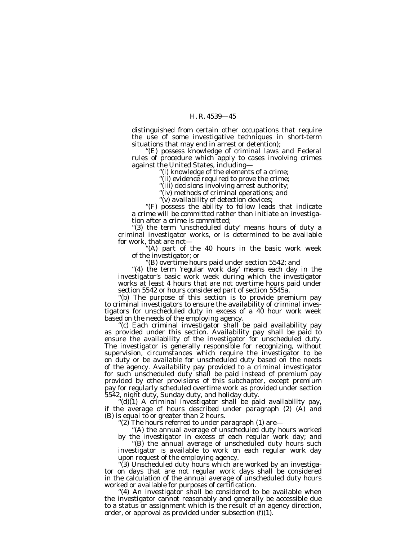distinguished from certain other occupations that require the use of some investigative techniques in short-term situations that may end in arrest or detention);

''(E) possess knowledge of criminal laws and Federal rules of procedure which apply to cases involving crimes against the United States, including—

''(i) knowledge of the elements of a crime;

''(ii) evidence required to prove the crime;

"(iii) decisions involving arrest authority;

"(iv) methods of criminal operations; and

''(v) availability of detection devices;

''(F) possess the ability to follow leads that indicate a crime will be committed rather than initiate an investigation after a crime is committed;

''(3) the term 'unscheduled duty' means hours of duty a criminal investigator works, or is determined to be available for work, that are not—

 $f(A)$  part of the 40 hours in the basic work week of the investigator; or

''(B) overtime hours paid under section 5542; and

"(4) the term 'regular work day' means each day in the investigator's basic work week during which the investigator works at least 4 hours that are not overtime hours paid under section 5542 or hours considered part of section 5545a.

''(b) The purpose of this section is to provide premium pay to criminal investigators to ensure the availability of criminal investigators for unscheduled duty in excess of a 40 hour work week based on the needs of the employing agency.

''(c) Each criminal investigator shall be paid availability pay as provided under this section. Availability pay shall be paid to ensure the availability of the investigator for unscheduled duty. The investigator is generally responsible for recognizing, without supervision, circumstances which require the investigator to be on duty or be available for unscheduled duty based on the needs of the agency. Availability pay provided to a criminal investigator for such unscheduled duty shall be paid instead of premium pay provided by other provisions of this subchapter, except premium pay for regularly scheduled overtime work as provided under section 5542, night duty, Sunday duty, and holiday duty.

" $(d)$ (1) A criminal investigator shall be paid availability pay, if the average of hours described under paragraph (2) (A) and (B) is equal to or greater than 2 hours.

''(2) The hours referred to under paragraph (1) are—

''(A) the annual average of unscheduled duty hours worked by the investigator in excess of each regular work day; and

''(B) the annual average of unscheduled duty hours such investigator is available to work on each regular work day upon request of the employing agency.

"(3) Unscheduled duty hours which are worked by an investigator on days that are not regular work days shall be considered in the calculation of the annual average of unscheduled duty hours worked or available for purposes of certification.

"(4) An investigator shall be considered to be available when the investigator cannot reasonably and generally be accessible due to a status or assignment which is the result of an agency direction, order, or approval as provided under subsection  $(f)(1)$ .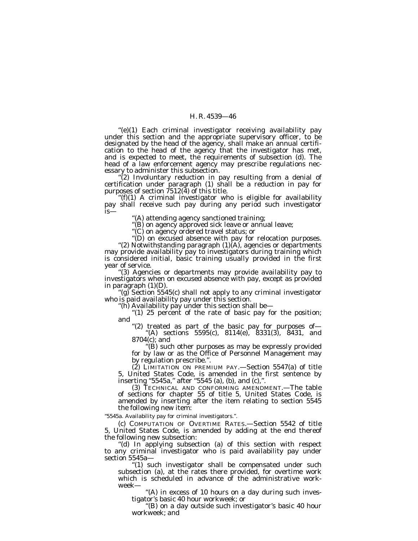''(e)(1) Each criminal investigator receiving availability pay under this section and the appropriate supervisory officer, to be designated by the head of the agency, shall make an annual certification to the head of the agency that the investigator has met, and is expected to meet, the requirements of subsection (d). The head of a law enforcement agency may prescribe regulations nec-<br>essary to administer this subsection.

"(2) Involuntary reduction in pay resulting from a denial of certification under paragraph (1) shall be a reduction in pay for purposes of section  $7512(4)$  of this title.

 $\tilde{f}$  (f)(1) A criminal investigator who is eligible for availability pay shall receive such pay during any period such investigator is—

''(A) attending agency sanctioned training;

"(B) on agency approved sick leave or annual leave;

''(C) on agency ordered travel status; or

''(D) on excused absence with pay for relocation purposes. ''(2) Notwithstanding paragraph (1)(A), agencies or departments may provide availability pay to investigators during training which is considered initial, basic training usually provided in the first year of service.

year of service. ''(3) Agencies or departments may provide availability pay to investigators when on excused absence with pay, except as provided

in paragraph  $(1)(D)$ .<br>
"(g) Section 5545(c) shall not apply to any criminal investigator<br>
who is paid availability pay under this section.<br>
"(h) Availability pay under this section shall be—<br>
"(1) 25 percent of the rate o

"(2) treated as part of the basic pay for purposes of—<br>"(A) sections  $5595(c)$ ,  $8114(e)$ ,  $8331(3)$ ,  $8431$ , and 8704(c); and

''(B) such other purposes as may be expressly provided for by law or as the Office of Personnel Management may by regulation prescribe.''.

 $(2)$  LIMITATION ON PREMIUM PAY.—Section 5547 $(a)$  of title 5, United States Code, is amended in the first sentence by inserting "5545a," after "5545 (a), (b), and (c),".

(3) TECHNICAL AND CONFORMING AMENDMENT.—The table of sections for chapter 55 of title 5, United States Code, is amended by inserting after the item relating to section 5545 the following new item:

''5545a. Availability pay for criminal investigators.''.

(c) COMPUTATION OF OVERTIME RATES.—Section 5542 of title 5, United States Code, is amended by adding at the end thereof the following new subsection:

''(d) In applying subsection (a) of this section with respect to any criminal investigator who is paid availability pay under section 5545a—

'(1) such investigator shall be compensated under such subsection (a), at the rates there provided, for overtime work which is scheduled in advance of the administrative workweek—

"(A) in excess of 10 hours on a day during such investigator's basic 40 hour workweek; or

''(B) on a day outside such investigator's basic 40 hour workweek; and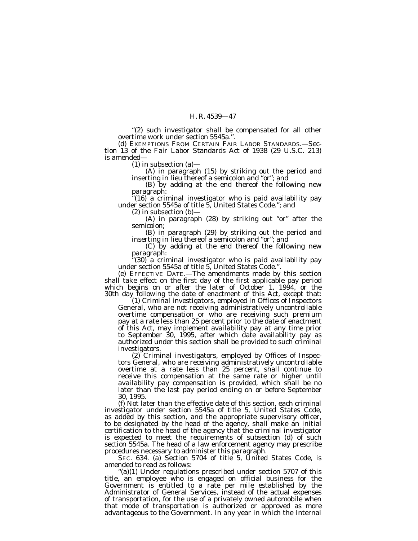"(2) such investigator shall be compensated for all other overtime work under section 5545a.''.

(d) EXEMPTIONS FROM CERTAIN FAIR LABOR STANDARDS.—Section 13 of the Fair Labor Standards Act of 1938 (29 U.S.C. 213) is amended—

(1) in subsection (a)—

(A) in paragraph (15) by striking out the period and inserting in lieu thereof a semicolon and "or"; and

(B) by adding at the end thereof the following new paragraph:

 $(16)$  a criminal investigator who is paid availability pay under section 5545a of title 5, United States Code.''; and

(2) in subsection (b)—

 $(A)$  in paragraph  $(28)$  by striking out "or" after the semicolon;

(B) in paragraph (29) by striking out the period and inserting in lieu thereof a semicolon and "or"; and

(C) by adding at the end thereof the following new paragraph:

'(30) a criminal investigator who is paid availability pay under section 5545a of title 5, United States Code.''.

(e) EFFECTIVE DATE.—The amendments made by this section shall take effect on the first day of the first applicable pay period which begins on or after the later of October 1,  $1994$ , or the 30th day following the date of enactment of this Act, except that:

(1) Criminal investigators, employed in Offices of Inspectors General, who are not receiving administratively uncontrollable overtime compensation or who are receiving such premium pay at a rate less than 25 percent prior to the date of enactment of this Act, may implement availability pay at any time prior to September 30, 1995, after which date availability pay as authorized under this section shall be provided to such criminal investigators. (2) Criminal investigators, employed by Offices of Inspec-

tors General, who are receiving administratively uncontrollable overtime at a rate less than 25 percent, shall continue to receive this compensation at the same rate or higher until availability pay compensation is provided, which shall be no later than the last pay period ending on or before September 30, 1995.

(f) Not later than the effective date of this section, each criminal investigator under section 5545a of title 5, United States Code, as added by this section, and the appropriate supervisory officer, to be designated by the head of the agency, shall make an initial certification to the head of the agency that the criminal investigator is expected to meet the requirements of subsection (d) of such section 5545a. The head of a law enforcement agency may prescribe procedures necessary to administer this paragraph.

SEC. 634. (a) Section 5704 of title 5, United States Code, is amended to read as follows:

 $'(a)(1)$  Under regulations prescribed under section 5707 of this title, an employee who is engaged on official business for the Government is entitled to a rate per mile established by the Administrator of General Services, instead of the actual expenses of transportation, for the use of a privately owned automobile when that mode of transportation is authorized or approved as more advantageous to the Government. In any year in which the Internal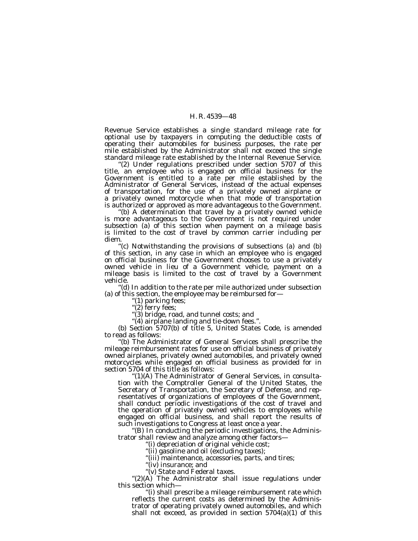Revenue Service establishes a single standard mileage rate for optional use by taxpayers in computing the deductible costs of operating their automobiles for business purposes, the rate per mile established by the Administrator shall not exceed the single standard mileage rate established by the Internal Revenue Service.

"(2) Under regulations prescribed under section 5707 of this title, an employee who is engaged on official business for the Government is entitled to a rate per mile established by the Administrator of General Services, instead of the actual expenses of transportation, for the use of a privately owned airplane or a privately owned motorcycle when that mode of transportation is authorized or approved as more advantageous to the Government.

''(b) A determination that travel by a privately owned vehicle is more advantageous to the Government is not required under subsection (a) of this section when payment on a mileage basis is limited to the cost of travel by common carrier including per diem.

''(c) Notwithstanding the provisions of subsections (a) and (b) of this section, in any case in which an employee who is engaged on official business for the Government chooses to use a privately owned vehicle in lieu of a Government vehicle, payment on a mileage basis is limited to the cost of travel by a Government vehicle.

'(d) In addition to the rate per mile authorized under subsection (a) of this section, the employee may be reimbursed for—

''(1) parking fees;

"(2) ferry fees;

''(3) bridge, road, and tunnel costs; and

(b) Section 5707(b) of title 5, United States Code, is amended to read as follows:

''(b) The Administrator of General Services shall prescribe the mileage reimbursement rates for use on official business of privately owned airplanes, privately owned automobiles, and privately owned motorcycles while engaged on official business as provided for in section 5704 of this title as follows:

''(1)(A) The Administrator of General Services, in consultation with the Comptroller General of the United States, the Secretary of Transportation, the Secretary of Defense, and representatives of organizations of employees of the Government, shall conduct periodic investigations of the cost of travel and the operation of privately owned vehicles to employees while engaged on official business, and shall report the results of such investigations to Congress at least once a year.

"(B) In conducting the periodic investigations, the Administrator shall review and analyze among other factors—

''(i) depreciation of original vehicle cost;

"(ii) gasoline and oil (excluding taxes);

"(iii) maintenance, accessories, parts, and tires;

"(iv) insurance; and

"(v) State and Federal taxes.

" $(2)(A)$  The Administrator shall issue regulations under this section which—

''(i) shall prescribe a mileage reimbursement rate which reflects the current costs as determined by the Administrator of operating privately owned automobiles, and which shall not exceed, as provided in section  $5704(a)(1)$  of this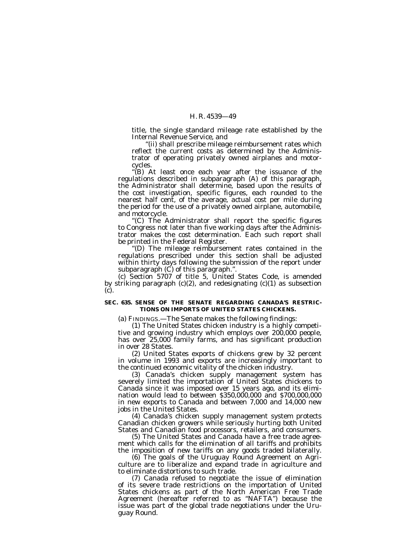title, the single standard mileage rate established by the Internal Revenue Service, and

''(ii) shall prescribe mileage reimbursement rates which reflect the current costs as determined by the Administrator of operating privately owned airplanes and motorcycles.

''(B) At least once each year after the issuance of the regulations described in subparagraph (A) of this paragraph, the Administrator shall determine, based upon the results of the cost investigation, specific figures, each rounded to the nearest half cent, of the average, actual cost per mile during the period for the use of a privately owned airplane, automobile, and motorcycle.

''(C) The Administrator shall report the specific figures to Congress not later than five working days after the Administrator makes the cost determination. Each such report shall be printed in the Federal Register.

''(D) The mileage reimbursement rates contained in the regulations prescribed under this section shall be adjusted within thirty days following the submission of the report under subparagraph (C) of this paragraph.''.

(c) Section 5707 of title 5, United States Code, is amended by striking paragraph  $(c)(2)$ , and redesignating  $(c)(1)$  as subsection (c).

## **SEC. 635. SENSE OF THE SENATE REGARDING CANADA'S RESTRIC-TIONS ON IMPORTS OF UNITED STATES CHICKENS.**

(a) FINDINGS.—The Senate makes the following findings:

(1) The United States chicken industry is a highly competitive and growing industry which employs over 200,000 people, has over 25,000 family farms, and has significant production in over 28 States.

(2) United States exports of chickens grew by 32 percent in volume in 1993 and exports are increasingly important to the continued economic vitality of the chicken industry.

(3) Canada's chicken supply management system has severely limited the importation of United States chickens to Canada since it was imposed over 15 years ago, and its elimination would lead to between \$350,000,000 and \$700,000,000 in new exports to Canada and between 7,000 and 14,000 new jobs in the United States.

(4) Canada's chicken supply management system protects Canadian chicken growers while seriously hurting both United States and Canadian food processors, retailers, and consumers.

(5) The United States and Canada have a free trade agreement which calls for the elimination of all tariffs and prohibits the imposition of new tariffs on any goods traded bilaterally.

(6) The goals of the Uruguay Round Agreement on Agriculture are to liberalize and expand trade in agriculture and to eliminate distortions to such trade.

(7) Canada refused to negotiate the issue of elimination of its severe trade restrictions on the importation of United States chickens as part of the North American Free Trade Agreement (hereafter referred to as ''NAFTA'') because the issue was part of the global trade negotiations under the Uruguay Round.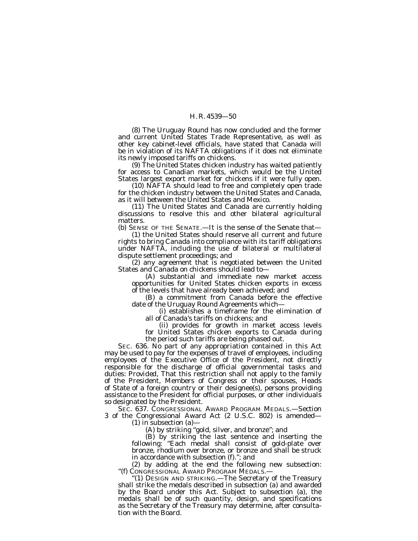(8) The Uruguay Round has now concluded and the former and current United States Trade Representative, as well as other key cabinet-level officials, have stated that Canada will be in violation of its NAFTA obligations if it does not eliminate its newly imposed tariffs on chickens.

(9) The United States chicken industry has waited patiently for access to Canadian markets, which would be the United States largest export market for chickens if it were fully open.

(10) NAFTA should lead to free and completely open trade for the chicken industry between the United States and Canada, as it will between the United States and Mexico.

(11) The United States and Canada are currently holding discussions to resolve this and other bilateral agricultural matters.

(b) SENSE OF THE SENATE.—It is the sense of the Senate that—

(1) the United States should reserve all current and future rights to bring Canada into compliance with its tariff obligations under NAFTA, including the use of bilateral or multilateral dispute settlement proceedings; and

(2) any agreement that is negotiated between the United States and Canada on chickens should lead to—

(A) substantial and immediate new market access opportunities for United States chicken exports in excess of the levels that have already been achieved; and

(B) a commitment from Canada before the effective date of the Uruguay Round Agreements which—

(i) establishes a timeframe for the elimination of all of Canada's tariffs on chickens; and

(ii) provides for growth in market access levels for United States chicken exports to Canada during the period such tariffs are being phased out.

SEC. 636. No part of any appropriation contained in this Act may be used to pay for the expenses of travel of employees, including employees of the Executive Office of the President, not directly responsible for the discharge of official governmental tasks and duties: *Provided,* That this restriction shall not apply to the family of the President, Members of Congress or their spouses, Heads of State of a foreign country or their designee(s), persons providing assistance to the President for official purposes, or other individuals so designated by the President.

SEC. 637. CONGRESSIONAL AWARD PROGRAM MEDALS.—Section 3 of the Congressional Award Act (2 U.S.C. 802) is amended—

(1) in subsection (a)—

(A) by striking ''gold, silver, and bronze''; and

(B) by striking the last sentence and inserting the following: ''Each medal shall consist of gold-plate over bronze, rhodium over bronze, or bronze and shall be struck in accordance with subsection (f).''; and

(2) by adding at the end the following new subsection: ''(f) CONGRESSIONAL AWARD PROGRAM MEDALS.—

'(1) DESIGN AND STRIKING.—The Secretary of the Treasury shall strike the medals described in subsection (a) and awarded by the Board under this Act. Subject to subsection (a), the medals shall be of such quantity, design, and specifications as the Secretary of the Treasury may determine, after consultation with the Board.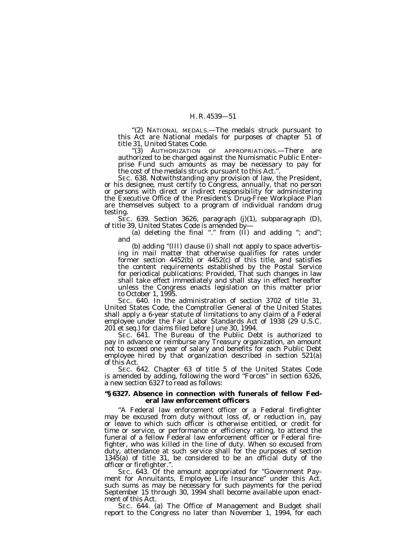''(2) NATIONAL MEDALS.—The medals struck pursuant to this Act are National medals for purposes of chapter 51 of title 31, United States Code.

''(3) AUTHORIZATION OF APPROPRIATIONS.—There are authorized to be charged against the Numismatic Public Enterprise Fund such amounts as may be necessary to pay for the cost of the medals struck pursuant to this Act.''.

SEC. 638. Notwithstanding any provision of law, the President, or his designee, must certify to Congress, annually, that no person or persons with direct or indirect responsibility for administering the Executive Office of the President's Drug-Free Workplace Plan are themselves subject to a program of individual random drug testing.

SEC. 639. Section 3626, paragraph (j)(1), subparagraph (D), of title 39, United States Code is amended by-

(a) deleting the final "." from  $(II)$  and adding "; and"; and

(b) adding ''(III) clause (i) shall not apply to space advertising in mail matter that otherwise qualifies for rates under former section 4452(b) or 4452(c) of this title, and satisfies the content requirements established by the Postal Service for periodical publications: *Provided,* That such changes in law shall take effect immediately and shall stay in effect hereafter unless the Congress enacts legislation on this matter prior to October 1, 1995.

SEC. 640. In the administration of section 3702 of title 31, United States Code, the Comptroller General of the United States shall apply a 6-year statute of limitations to any claim of a Federal employee under the Fair Labor Standards Act of 1938 (29 U.S.C. 201 et seq.) for claims filed before June 30, 1994.

SEC. 641. The Bureau of the Public Debt is authorized to pay in advance or reimburse any Treasury organization, an amount not to exceed one year of salary and benefits for each Public Debt employee hired by that organization described in section 521(a) of this Act.

SEC. 642. Chapter 63 of title 5 of the United States Code is amended by adding, following the word "Forces" in section 6326, a new section 6327 to read as follows:

## **''§ 6327. Absence in connection with funerals of fellow Federal law enforcement officers**

''A Federal law enforcement officer or a Federal firefighter may be excused from duty without loss of, or reduction in, pay or leave to which such officer is otherwise entitled, or credit for time or service, or performance or efficiency rating, to attend the funeral of a fellow Federal law enforcement officer or Federal firefighter, who was killed in the line of duty. When so excused from duty, attendance at such service shall for the purposes of section 1345(a) of title 31, be considered to be an official duty of the officer or firefighter.''.

SEC. 643. Of the amount appropriated for ''Government Payment for Annuitants, Employee Life Insurance'' under this Act, such sums as may be necessary for such payments for the period September 15 through 30, 1994 shall become available upon enactment of this Act.

SEC. 644. (a) The Office of Management and Budget shall report to the Congress no later than November 1, 1994, for each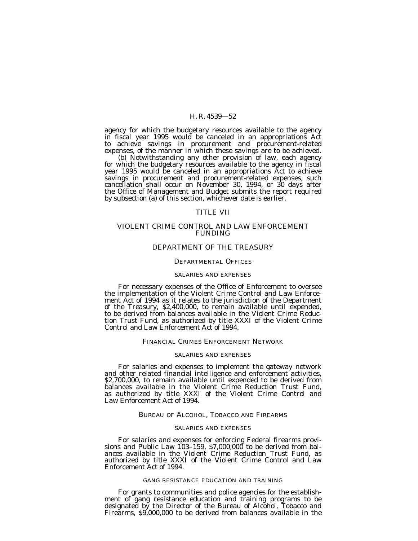agency for which the budgetary resources available to the agency in fiscal year 1995 would be canceled in an appropriations Act to achieve savings in procurement and procurement-related expenses, of the manner in which these savings are to be achieved.

(b) Notwithstanding any other provision of law, each agency for which the budgetary resources available to the agency in fiscal year 1995 would be canceled in an appropriations Act to achieve savings in procurement and procurement-related expenses, such cancellation shall occur on November 30, 1994, or 30 days after the Office of Management and Budget submits the report required by subsection (a) of this section, whichever date is earlier.

## TITLE VII

## VIOLENT CRIME CONTROL AND LAW ENFORCEMENT FUNDING

## DEPARTMENT OF THE TREASURY

#### DEPARTMENTAL OFFICES

## SALARIES AND EXPENSES

For necessary expenses of the Office of Enforcement to oversee the implementation of the Violent Crime Control and Law Enforcement Act of 1994 as it relates to the jurisdiction of the Department of the Treasury, \$2,400,000, to remain available until expended, to be derived from balances available in the Violent Crime Reduction Trust Fund, as authorized by title XXXI of the Violent Crime Control and Law Enforcement Act of 1994.

## FINANCIAL CRIMES ENFORCEMENT NETWORK

#### SALARIES AND EXPENSES

For salaries and expenses to implement the gateway network and other related financial intelligence and enforcement activities, \$2,700,000, to remain available until expended to be derived from balances available in the Violent Crime Reduction Trust Fund, as authorized by title XXXI of the Violent Crime Control and Law Enforcement Act of 1994.

#### BUREAU OF ALCOHOL, TOBACCO AND FIREARMS

## SALARIES AND EXPENSES

For salaries and expenses for enforcing Federal firearms provisions and Public Law 103–159, \$7,000,000 to be derived from balances available in the Violent Crime Reduction Trust Fund, as authorized by title XXXI of the Violent Crime Control and Law Enforcement Act of 1994.

## GANG RESISTANCE EDUCATION AND TRAINING

For grants to communities and police agencies for the establishment of gang resistance education and training programs to be designated by the Director of the Bureau of Alcohol, Tobacco and Firearms, \$9,000,000 to be derived from balances available in the